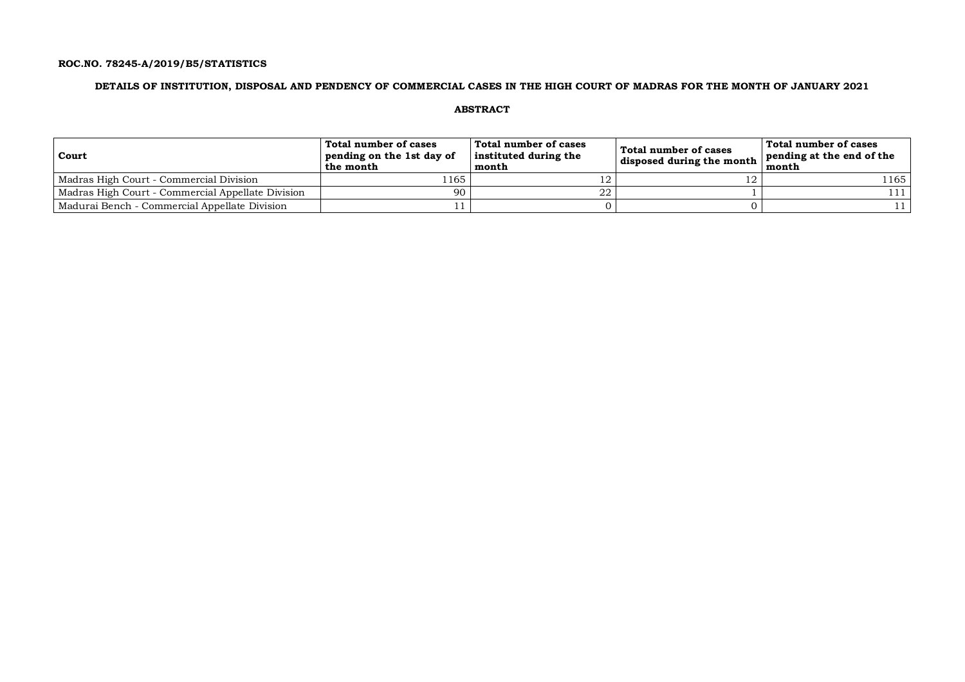### **ROC.NO. 78245-A/2019/B5/STATISTICS**

### **DETAILS OF INSTITUTION, DISPOSAL AND PENDENCY OF COMMERCIAL CASES IN THE HIGH COURT OF MADRAS FOR THE MONTH OF JANUARY 2021**

**ABSTRACT**

| Court                                             | Total number of cases<br>pending on the 1st day of<br>the month | Total number of cases<br>instituted during the<br>month | Total number of cases<br>disposed during the month | Total number of cases<br>pending at the end of the<br>month |
|---------------------------------------------------|-----------------------------------------------------------------|---------------------------------------------------------|----------------------------------------------------|-------------------------------------------------------------|
| Madras High Court - Commercial Division           | 1165                                                            |                                                         |                                                    | 1165                                                        |
| Madras High Court - Commercial Appellate Division | 90                                                              | 22                                                      |                                                    | 111                                                         |
| Madurai Bench - Commercial Appellate Division     |                                                                 |                                                         |                                                    |                                                             |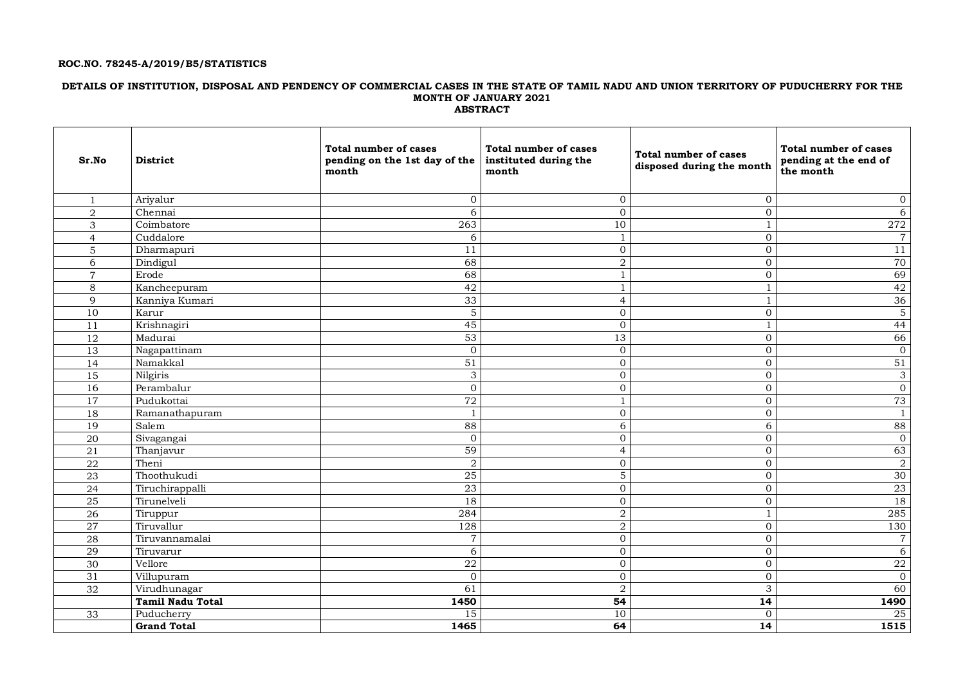### **ROC.NO. 78245-A/2019/B5/STATISTICS**

### **DETAILS OF INSTITUTION, DISPOSAL AND PENDENCY OF COMMERCIAL CASES IN THE STATE OF TAMIL NADU AND UNION TERRITORY OF PUDUCHERRY FOR THE MONTH OF JANUARY 2021 ABSTRACT**

| Sr.No           | <b>District</b>         | <b>Total number of cases</b><br>pending on the 1st day of the<br>month | <b>Total number of cases</b><br>instituted during the<br>month | Total number of cases<br>disposed during the month | <b>Total number of cases</b><br>pending at the end of<br>the month |
|-----------------|-------------------------|------------------------------------------------------------------------|----------------------------------------------------------------|----------------------------------------------------|--------------------------------------------------------------------|
| $\mathbf{1}$    | Ariyalur                | $\boldsymbol{0}$                                                       | $\overline{0}$                                                 | $\overline{0}$                                     | $\boldsymbol{0}$                                                   |
| $\overline{2}$  | Chennai                 | 6                                                                      | $\overline{0}$                                                 | $\overline{0}$                                     | 6                                                                  |
| 3               | Coimbatore              | 263                                                                    | 10                                                             | $\mathbf{1}$                                       | 272                                                                |
| $\overline{4}$  | Cuddalore               | 6                                                                      | $\mathbf{1}$                                                   | $\overline{0}$                                     | $\,7$                                                              |
| 5               | Dharmapuri              | 11                                                                     | $\overline{0}$                                                 | $\overline{0}$                                     | 11                                                                 |
| 6               | Dindigul                | 68                                                                     | $\overline{2}$                                                 | $\overline{0}$                                     | 70                                                                 |
| $\overline{7}$  | Erode                   | 68                                                                     | $\mathbf{1}$                                                   | $\mathbf{O}$                                       | 69                                                                 |
| 8               | Kancheepuram            | 42                                                                     | $\mathbf{1}$                                                   | $\mathbf{1}$                                       | 42                                                                 |
| $\mathbf{Q}$    | Kanniya Kumari          | 33                                                                     | $\overline{4}$                                                 | 1                                                  | 36                                                                 |
| 10              | Karur                   | $\mathbf 5$                                                            | $\overline{0}$                                                 | $\mathbf 0$                                        | $\mathbf 5$                                                        |
| 11              | Krishnagiri             | $\overline{45}$                                                        | $\overline{0}$                                                 | $\mathbf{1}$                                       | 44                                                                 |
| 12              | Madurai                 | 53                                                                     | 13                                                             | $\mathbf{O}$                                       | 66                                                                 |
| 13              | Nagapattinam            | $\overline{0}$                                                         | $\overline{0}$                                                 | $\overline{0}$                                     | $\mathbf{0}$                                                       |
| 14              | Namakkal                | 51                                                                     | $\mathbf 0$                                                    | $\mathbf{0}$                                       | 51                                                                 |
| $\overline{15}$ | Nilgiris                | 3                                                                      | $\mathbf 0$                                                    | $\overline{0}$                                     | 3                                                                  |
| 16              | Perambalur              | $\mathbf{0}$                                                           | $\overline{0}$                                                 | $\overline{0}$                                     | $\boldsymbol{0}$                                                   |
| 17              | Pudukottai              | 72                                                                     | 1                                                              | $\overline{0}$                                     | 73                                                                 |
| 18              | Ramanathapuram          | $\mathbf{1}$                                                           | $\mathbf{0}$                                                   | $\overline{0}$                                     | $\mathbf{1}$                                                       |
| 19              | Salem                   | 88                                                                     | 6                                                              | $6\,$                                              | 88                                                                 |
| 20              | Sivagangai              | $\mathbf 0$                                                            | $\overline{0}$                                                 | $\overline{0}$                                     | $\mathbf{0}$                                                       |
| 21              | Thanjavur               | 59                                                                     | $\overline{4}$                                                 | $\overline{0}$                                     | 63                                                                 |
| 22              | Theni                   | $\overline{2}$                                                         | $\boldsymbol{0}$                                               | $\mathbf{0}$                                       | $\overline{2}$                                                     |
| 23              | Thoothukudi             | 25                                                                     | 5                                                              | $\overline{0}$                                     | 30                                                                 |
| 24              | Tiruchirappalli         | 23                                                                     | $\overline{0}$                                                 | $\overline{0}$                                     | 23                                                                 |
| 25              | Tirunelveli             | 18                                                                     | $\overline{0}$                                                 | $\overline{0}$                                     | 18                                                                 |
| 26              | Tiruppur                | 284                                                                    | $\overline{a}$                                                 | 1                                                  | 285                                                                |
| 27              | Tiruvallur              | 128                                                                    | $\overline{a}$                                                 | $\overline{0}$                                     | 130                                                                |
| ${\bf 28}$      | Tiruvannamalai          | $\overline{7}$                                                         | $\mathbf 0$                                                    | $\overline{0}$                                     | $\boldsymbol{7}$                                                   |
| 29              | Tiruvarur               | $\overline{6}$                                                         | $\boldsymbol{0}$                                               | $\mathbf{O}$                                       | $\overline{6}$                                                     |
| 30              | Vellore                 | $\overline{22}$                                                        | $\overline{0}$                                                 | $\overline{0}$                                     | 22                                                                 |
| 31              | Villupuram              | $\mathbf{0}$                                                           | $\mathbf 0$                                                    | $\mathbf{0}$                                       | $\mathbf{0}$                                                       |
| 32              | Virudhunagar            | 61                                                                     | 2                                                              | 3                                                  | 60                                                                 |
|                 | <b>Tamil Nadu Total</b> | 1450                                                                   | 54                                                             | 14                                                 | 1490                                                               |
| 33              | Puducherry              | 15                                                                     | 10                                                             | $\overline{0}$                                     | $25\,$                                                             |
|                 | <b>Grand Total</b>      | 1465                                                                   | 64                                                             | $\overline{14}$                                    | 1515                                                               |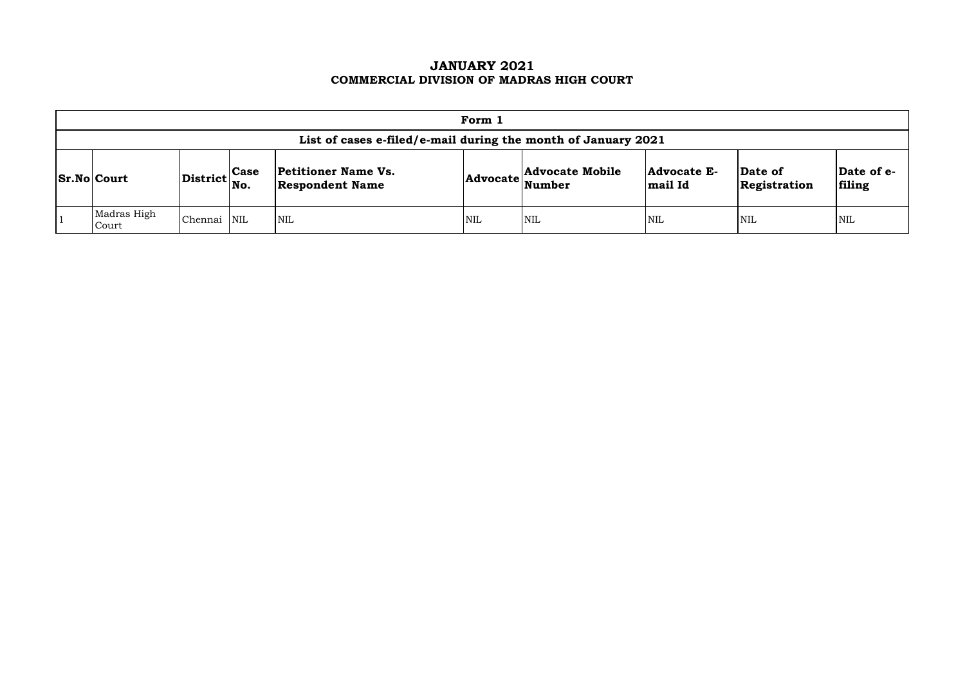## **JANUARY 2021 COMMERCIAL DIVISION OF MADRAS HIGH COURT**

| Form 1                                                        |                                                                                             |                 |                                                      |     |                          |                               |                         |                      |  |  |  |  |  |
|---------------------------------------------------------------|---------------------------------------------------------------------------------------------|-----------------|------------------------------------------------------|-----|--------------------------|-------------------------------|-------------------------|----------------------|--|--|--|--|--|
| List of cases e-filed/e-mail during the month of January 2021 |                                                                                             |                 |                                                      |     |                          |                               |                         |                      |  |  |  |  |  |
| <b>Sr.No Court</b>                                            | $\begin{array}{c c} \textbf{District} & \textbf{Case} \\ \hline \textbf{No.} & \end{array}$ |                 | <b>Petitioner Name Vs.</b><br><b>Respondent Name</b> |     | Advocate Advocate Mobile | <b>Advocate E-</b><br>mail Id | Date of<br>Registration | Date of e-<br>filing |  |  |  |  |  |
| Madras High<br>Court                                          | Chennai                                                                                     | NIL <sup></sup> | <b>NIL</b>                                           | NIL | <b>NIL</b>               | <b>NIL</b>                    | <b>NIL</b>              | <b>NIL</b>           |  |  |  |  |  |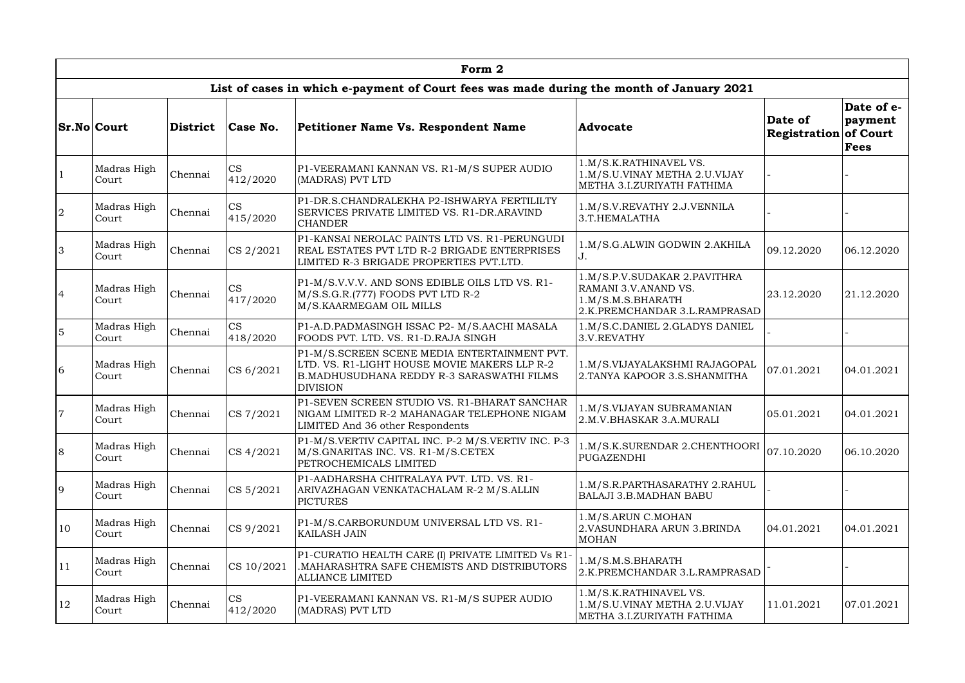|                | Form 2               |                 |                       |                                                                                                                                                               |                                                                                                            |                                         |                                      |  |  |  |  |  |  |
|----------------|----------------------|-----------------|-----------------------|---------------------------------------------------------------------------------------------------------------------------------------------------------------|------------------------------------------------------------------------------------------------------------|-----------------------------------------|--------------------------------------|--|--|--|--|--|--|
|                |                      |                 |                       | List of cases in which e-payment of Court fees was made during the month of January 2021                                                                      |                                                                                                            |                                         |                                      |  |  |  |  |  |  |
|                | <b>Sr.No Court</b>   | <b>District</b> | Case No.              | Petitioner Name Vs. Respondent Name                                                                                                                           | <b>Advocate</b>                                                                                            | Date of<br><b>Registration of Court</b> | Date of e-<br>payment<br><b>Fees</b> |  |  |  |  |  |  |
|                | Madras High<br>Court | Chennai         | <b>CS</b><br>412/2020 | P1-VEERAMANI KANNAN VS. R1-M/S SUPER AUDIO<br>(MADRAS) PVT LTD                                                                                                | 1.M/S.K.RATHINAVEL VS.<br>1.M/S.U.VINAY METHA 2.U.VIJAY<br>METHA 3.I.ZURIYATH FATHIMA                      |                                         |                                      |  |  |  |  |  |  |
| 2              | Madras High<br>Court | Chennai         | <b>CS</b><br>415/2020 | P1-DR.S.CHANDRALEKHA P2-ISHWARYA FERTILILTY<br>SERVICES PRIVATE LIMITED VS. R1-DR.ARAVIND<br><b>CHANDER</b>                                                   | 1.M/S.V.REVATHY 2.J.VENNILA<br>3.T.HEMALATHA                                                               |                                         |                                      |  |  |  |  |  |  |
| 3              | Madras High<br>Court | Chennai         | CS 2/2021             | P1-KANSAI NEROLAC PAINTS LTD VS. R1-PERUNGUDI<br>REAL ESTATES PVT LTD R-2 BRIGADE ENTERPRISES<br>LIMITED R-3 BRIGADE PROPERTIES PVT.LTD.                      | 1.M/S.G.ALWIN GODWIN 2.AKHILA<br>J.                                                                        | 09.12.2020                              | 06.12.2020                           |  |  |  |  |  |  |
| $\overline{4}$ | Madras High<br>Court | Chennai         | <b>CS</b><br>417/2020 | P1-M/S.V.V.V. AND SONS EDIBLE OILS LTD VS. R1-<br>M/S.S.G.R.(777) FOODS PVT LTD R-2<br>M/S.KAARMEGAM OIL MILLS                                                | 1.M/S.P.V.SUDAKAR 2.PAVITHRA<br>RAMANI 3.V.ANAND VS.<br>1.M/S.M.S.BHARATH<br>2.K.PREMCHANDAR 3.L.RAMPRASAD | 23.12.2020                              | 21.12.2020                           |  |  |  |  |  |  |
| $5\phantom{.}$ | Madras High<br>Court | Chennai         | CS<br>418/2020        | P1-A.D.PADMASINGH ISSAC P2- M/S.AACHI MASALA<br>FOODS PVT. LTD. VS. R1-D.RAJA SINGH                                                                           | 1.M/S.C.DANIEL 2.GLADYS DANIEL<br>3.V.REVATHY                                                              |                                         |                                      |  |  |  |  |  |  |
| 6              | Madras High<br>Court | Chennai         | CS 6/2021             | P1-M/S.SCREEN SCENE MEDIA ENTERTAINMENT PVT.<br>LTD. VS. R1-LIGHT HOUSE MOVIE MAKERS LLP R-2<br>B. MADHUSUDHANA REDDY R-3 SARASWATHI FILMS<br><b>DIVISION</b> | 1.M/S.VIJAYALAKSHMI RAJAGOPAL<br>2. TANYA KAPOOR 3.S. SHANMITHA                                            | 07.01.2021                              | 04.01.2021                           |  |  |  |  |  |  |
| $\overline{7}$ | Madras High<br>Court | Chennai         | CS 7/2021             | P1-SEVEN SCREEN STUDIO VS. R1-BHARAT SANCHAR<br>NIGAM LIMITED R-2 MAHANAGAR TELEPHONE NIGAM<br>LIMITED And 36 other Respondents                               | 1.M/S.VIJAYAN SUBRAMANIAN<br>2.M.V.BHASKAR 3.A.MURALI                                                      | 05.01.2021                              | 04.01.2021                           |  |  |  |  |  |  |
| 8              | Madras High<br>Court | Chennai         | CS 4/2021             | P1-M/S.VERTIV CAPITAL INC. P-2 M/S.VERTIV INC. P-3<br>M/S.GNARITAS INC. VS. R1-M/S.CETEX<br>PETROCHEMICALS LIMITED                                            | 1.M/S.K.SURENDAR 2.CHENTHOORI<br>PUGAZENDHI                                                                | 07.10.2020                              | 06.10.2020                           |  |  |  |  |  |  |
| 9              | Madras High<br>Court | Chennai         | CS 5/2021             | P1-AADHARSHA CHITRALAYA PVT. LTD. VS. R1-<br>ARIVAZHAGAN VENKATACHALAM R-2 M/S.ALLIN<br><b>PICTURES</b>                                                       | 1.M/S.R.PARTHASARATHY 2.RAHUL<br><b>BALAJI 3.B.MADHAN BABU</b>                                             |                                         |                                      |  |  |  |  |  |  |
| $ 10\rangle$   | Madras High<br>Court | Chennai         | CS 9/2021             | P1-M/S.CARBORUNDUM UNIVERSAL LTD VS. R1-<br><b>KAILASH JAIN</b>                                                                                               | 1.M/S.ARUN C.MOHAN<br>2. VASUNDHARA ARUN 3. BRINDA<br><b>MOHAN</b>                                         | 04.01.2021                              | 04.01.2021                           |  |  |  |  |  |  |
| $ 11\rangle$   | Madras High<br>Court | Chennai         | CS 10/2021            | P1-CURATIO HEALTH CARE (I) PRIVATE LIMITED Vs R1-<br>MAHARASHTRA SAFE CHEMISTS AND DISTRIBUTORS.<br><b>ALLIANCE LIMITED</b>                                   | 1.M/S.M.S.BHARATH<br>2.K.PREMCHANDAR 3.L.RAMPRASAD                                                         |                                         |                                      |  |  |  |  |  |  |
| 12             | Madras High<br>Court | Chennai         | <b>CS</b><br>412/2020 | P1-VEERAMANI KANNAN VS. R1-M/S SUPER AUDIO<br>(MADRAS) PVT LTD                                                                                                | 1.M/S.K.RATHINAVEL VS.<br>1.M/S.U.VINAY METHA 2.U.VIJAY<br>METHA 3.I.ZURIYATH FATHIMA                      | 11.01.2021                              | 07.01.2021                           |  |  |  |  |  |  |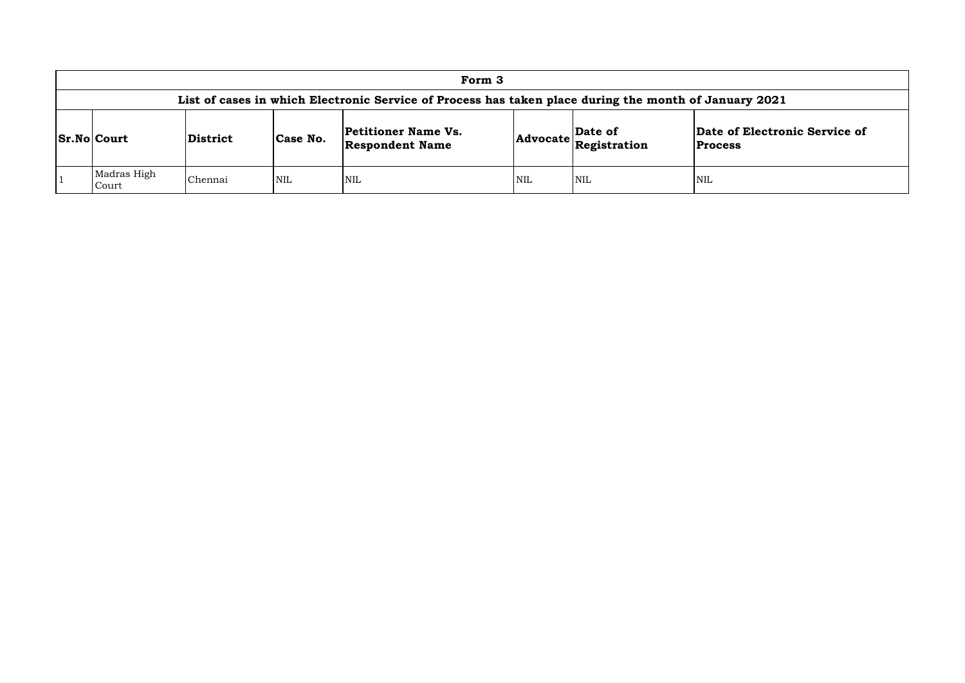| Form 3                                                                                                |                |            |                                                      |            |                                  |                                   |  |  |  |  |  |  |  |
|-------------------------------------------------------------------------------------------------------|----------------|------------|------------------------------------------------------|------------|----------------------------------|-----------------------------------|--|--|--|--|--|--|--|
| List of cases in which Electronic Service of Process has taken place during the month of January 2021 |                |            |                                                      |            |                                  |                                   |  |  |  |  |  |  |  |
| <b>Sr.No Court</b>                                                                                    | District       | Case No.   | <b>Petitioner Name Vs.</b><br><b>Respondent Name</b> |            | Advocate Date of<br>Registration | Date of Electro<br><b>Process</b> |  |  |  |  |  |  |  |
| Madras High<br>Court                                                                                  | <b>Chennai</b> | <b>NIL</b> | <b>NIL</b>                                           | <b>NIL</b> | <b>NIL</b>                       | NIL                               |  |  |  |  |  |  |  |

# **of Electronic Service of**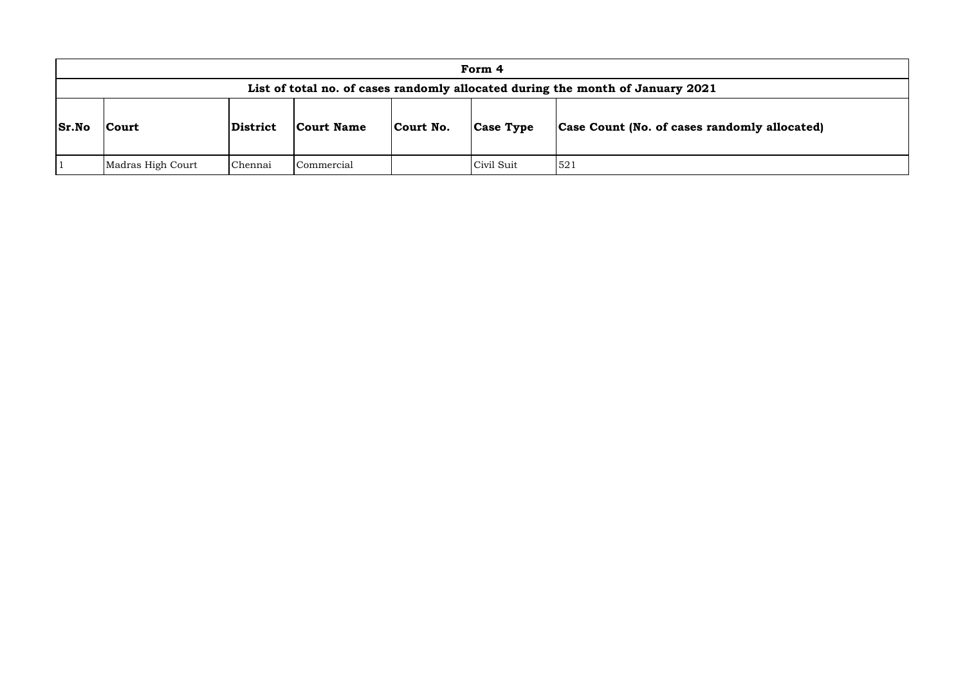| Form 4       |                   |          |                   |           |            |                                                                                |  |  |  |  |  |  |  |
|--------------|-------------------|----------|-------------------|-----------|------------|--------------------------------------------------------------------------------|--|--|--|--|--|--|--|
|              |                   |          |                   |           |            | List of total no. of cases randomly allocated during the month of January 2021 |  |  |  |  |  |  |  |
| <b>Sr.No</b> | Court             | District | <b>Court Name</b> | Court No. | Case Type  | <b>Case Count (No. of cases rand</b>                                           |  |  |  |  |  |  |  |
|              | Madras High Court | Chennai  | Commercial        |           | Civil Suit | 521                                                                            |  |  |  |  |  |  |  |

# **domly allocated)**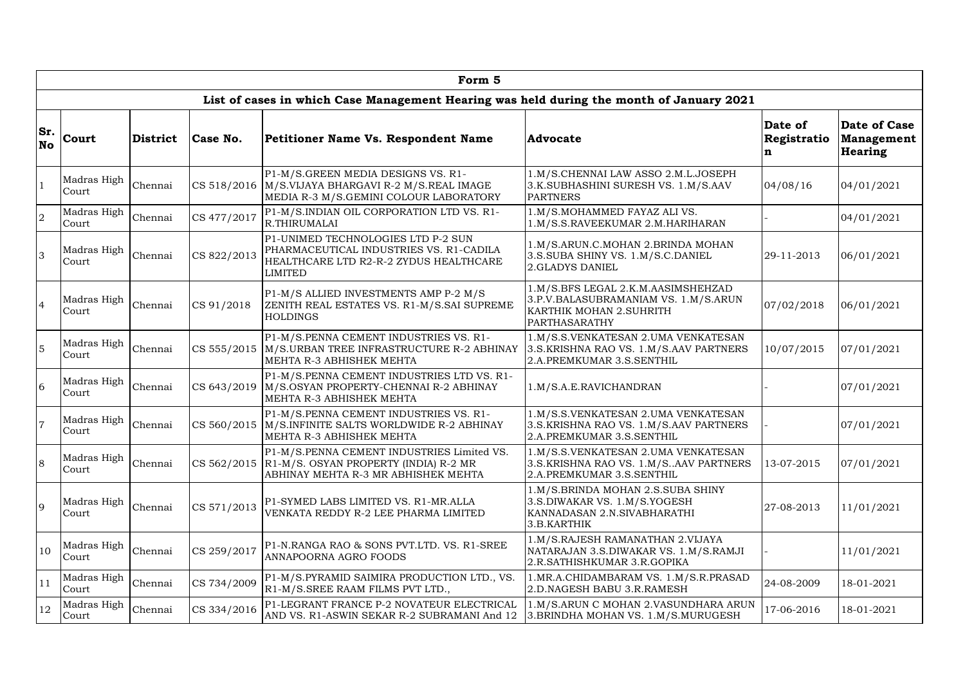|                  | Form 5               |                 |             |                                                                                                                                           |                                                                                                                                      |                             |                                                     |  |  |  |  |  |  |
|------------------|----------------------|-----------------|-------------|-------------------------------------------------------------------------------------------------------------------------------------------|--------------------------------------------------------------------------------------------------------------------------------------|-----------------------------|-----------------------------------------------------|--|--|--|--|--|--|
|                  |                      |                 |             | List of cases in which Case Management Hearing was held during the month of January 2021                                                  |                                                                                                                                      |                             |                                                     |  |  |  |  |  |  |
| Sr.<br><b>No</b> | Court                | <b>District</b> | Case No.    | <b>Petitioner Name Vs. Respondent Name</b>                                                                                                | <b>Advocate</b>                                                                                                                      | Date of<br>Registratio<br>n | Date of Case<br><b>Management</b><br><b>Hearing</b> |  |  |  |  |  |  |
|                  | Madras High<br>Court | Chennai         |             | P1-M/S.GREEN MEDIA DESIGNS VS. R1-<br>CS 518/2016   M/S.VIJAYA BHARGAVI R-2 M/S.REAL IMAGE<br>MEDIA R-3 M/S.GEMINI COLOUR LABORATORY      | 1.M/S.CHENNAI LAW ASSO 2.M.L.JOSEPH<br>3.K.SUBHASHINI SURESH VS. 1.M/S.AAV<br><b>PARTNERS</b>                                        | 04/08/16                    | 04/01/2021                                          |  |  |  |  |  |  |
| $\overline{2}$   | Madras High<br>Court | Chennai         | CS 477/2017 | P1-M/S.INDIAN OIL CORPORATION LTD VS. R1-<br>R.THIRUMALAI                                                                                 | 1.M/S.MOHAMMED FAYAZ ALI VS.<br>1.M/S.S.RAVEEKUMAR 2.M.HARIHARAN                                                                     |                             | 04/01/2021                                          |  |  |  |  |  |  |
| 3                | Madras High<br>Court | Chennai         | CS 822/2013 | P1-UNIMED TECHNOLOGIES LTD P-2 SUN<br>PHARMACEUTICAL INDUSTRIES VS. R1-CADILA<br>HEALTHCARE LTD R2-R-2 ZYDUS HEALTHCARE<br><b>LIMITED</b> | 1.M/S.ARUN.C.MOHAN 2.BRINDA MOHAN<br>3.S.SUBA SHINY VS. 1.M/S.C.DANIEL<br>2.GLADYS DANIEL                                            | 29-11-2013                  | 06/01/2021                                          |  |  |  |  |  |  |
|                  | Madras High<br>Court | Chennai         | CS 91/2018  | P1-M/S ALLIED INVESTMENTS AMP P-2 M/S<br>ZENITH REAL ESTATES VS. R1-M/S.SAI SUPREME<br><b>HOLDINGS</b>                                    | 1.M/S.BFS LEGAL 2.K.M.AASIMSHEHZAD<br>3.P.V.BALASUBRAMANIAM VS. 1.M/S.ARUN<br><b>KARTHIK MOHAN 2.SUHRITH</b><br><b>PARTHASARATHY</b> | 07/02/2018                  | 06/01/2021                                          |  |  |  |  |  |  |
| 5                | Madras High<br>Court | Chennai         | CS 555/2015 | P1-M/S.PENNA CEMENT INDUSTRIES VS. R1-<br>M/S.URBAN TREE INFRASTRUCTURE R-2 ABHINAY<br>MEHTA R-3 ABHISHEK MEHTA                           | 1.M/S.S.VENKATESAN 2.UMA VENKATESAN<br>3.S.KRISHNA RAO VS. 1.M/S.AAV PARTNERS<br>2.A.PREMKUMAR 3.S.SENTHIL                           | 10/07/2015                  | 07/01/2021                                          |  |  |  |  |  |  |
| 6                | Madras High<br>Court | Chennai         | CS 643/2019 | P1-M/S.PENNA CEMENT INDUSTRIES LTD VS. R1-<br>M/S.OSYAN PROPERTY-CHENNAI R-2 ABHINAY<br>MEHTA R-3 ABHISHEK MEHTA                          | 1.M/S.A.E.RAVICHANDRAN                                                                                                               |                             | 07/01/2021                                          |  |  |  |  |  |  |
| $\overline{7}$   | Madras High<br>Court | Chennai         |             | P1-M/S.PENNA CEMENT INDUSTRIES VS. R1-<br>CS 560/2015   M/S.INFINITE SALTS WORLDWIDE R-2 ABHINAY<br>MEHTA R-3 ABHISHEK MEHTA              | 1.M/S.S.VENKATESAN 2.UMA VENKATESAN<br>3.S. KRISHNA RAO VS. 1.M/S. AAV PARTNERS<br>2.A.PREMKUMAR 3.S.SENTHIL                         |                             | 07/01/2021                                          |  |  |  |  |  |  |
| 8                | Madras High<br>Court | Chennai         |             | P1-M/S.PENNA CEMENT INDUSTRIES Limited VS.<br>CS 562/2015   R1-M/S. OSYAN PROPERTY (INDIA) R-2 MR<br>ABHINAY MEHTA R-3 MR ABHISHEK MEHTA  | 1.M/S.S.VENKATESAN 2.UMA VENKATESAN<br>3.S. KRISHNA RAO VS. 1.M/S. AAV PARTNERS<br>2.A.PREMKUMAR 3.S.SENTHIL                         | 13-07-2015                  | 07/01/2021                                          |  |  |  |  |  |  |
| 9                | Madras High<br>Court | Chennai         | CS 571/2013 | P1-SYMED LABS LIMITED VS. R1-MR.ALLA<br>VENKATA REDDY R-2 LEE PHARMA LIMITED                                                              | 1.M/S.BRINDA MOHAN 2.S.SUBA SHINY<br>3.S.DIWAKAR VS. 1.M/S.YOGESH<br>KANNADASAN 2.N.SIVABHARATHI<br>3.B.KARTHIK                      | 27-08-2013                  | 11/01/2021                                          |  |  |  |  |  |  |
| 10               | Madras High<br>Court | Chennai         | CS 259/2017 | P1-N.RANGA RAO & SONS PVT.LTD. VS. R1-SREE<br>ANNAPOORNA AGRO FOODS                                                                       | 1.M/S.RAJESH RAMANATHAN 2.VIJAYA<br>NATARAJAN 3.S.DIWAKAR VS. 1.M/S.RAMJI<br>2.R.SATHISHKUMAR 3.R.GOPIKA                             |                             | 11/01/2021                                          |  |  |  |  |  |  |
| 11               | Madras High<br>Court | Chennai         | CS 734/2009 | P1-M/S.PYRAMID SAIMIRA PRODUCTION LTD., VS.<br>R1-M/S.SREE RAAM FILMS PVT LTD.,                                                           | 1. MR.A.CHIDAMBARAM VS. 1.M/S.R.PRASAD<br>2.D.NAGESH BABU 3.R.RAMESH                                                                 | 24-08-2009                  | 18-01-2021                                          |  |  |  |  |  |  |
| 12               | Madras High<br>Court | Chennai         | CS 334/2016 | P1-LEGRANT FRANCE P-2 NOVATEUR ELECTRICAL<br>AND VS. R1-ASWIN SEKAR R-2 SUBRAMANI And 12                                                  | 1.M/S.ARUN C MOHAN 2.VASUNDHARA ARUN<br>3. BRINDHA MOHAN VS. 1.M/S. MURUGESH                                                         | 17-06-2016                  | 18-01-2021                                          |  |  |  |  |  |  |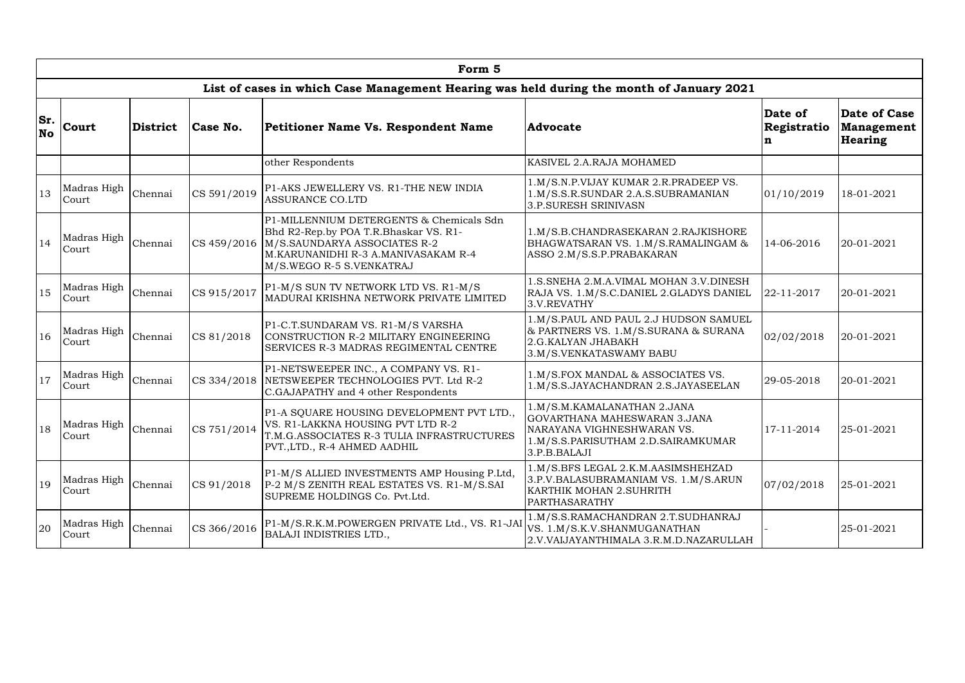|           | Form 5               |                 |                                                                                          |                                                                                                                                                                                                    |                                                                                                                                                 |                             |                                              |  |  |  |  |  |  |
|-----------|----------------------|-----------------|------------------------------------------------------------------------------------------|----------------------------------------------------------------------------------------------------------------------------------------------------------------------------------------------------|-------------------------------------------------------------------------------------------------------------------------------------------------|-----------------------------|----------------------------------------------|--|--|--|--|--|--|
|           |                      |                 |                                                                                          | List of cases in which Case Management Hearing was held during the month of January 2021                                                                                                           |                                                                                                                                                 |                             |                                              |  |  |  |  |  |  |
| <b>No</b> | Sr. Court            | <b>District</b> | Case No.                                                                                 | Petitioner Name Vs. Respondent Name                                                                                                                                                                | <b>Advocate</b>                                                                                                                                 | Date of<br>Registratio<br>n | Date of Case<br>Management<br><b>Hearing</b> |  |  |  |  |  |  |
|           |                      |                 |                                                                                          | other Respondents                                                                                                                                                                                  | KASIVEL 2.A.RAJA MOHAMED                                                                                                                        |                             |                                              |  |  |  |  |  |  |
| 13        | Madras High<br>Court | Chennai         | CS 591/2019                                                                              | P1-AKS JEWELLERY VS. R1-THE NEW INDIA<br><b>ASSURANCE CO.LTD</b>                                                                                                                                   | 1.M/S.N.P.VIJAY KUMAR 2.R.PRADEEP VS.<br>1.M/S.S.R.SUNDAR 2.A.S.SUBRAMANIAN<br>3.P.SURESH SRINIVASN                                             | 01/10/2019                  | 18-01-2021                                   |  |  |  |  |  |  |
| 14        | Madras High<br>Court | Chennai         |                                                                                          | P1-MILLENNIUM DETERGENTS & Chemicals Sdn<br>Bhd R2-Rep.by POA T.R.Bhaskar VS. R1-<br>CS 459/2016   M/S.SAUNDARYA ASSOCIATES R-2<br>M.KARUNANIDHI R-3 A.MANIVASAKAM R-4<br>M/S.WEGO R-5 S.VENKATRAJ | 1.M/S.B.CHANDRASEKARAN 2.RAJKISHORE<br>BHAGWATSARAN VS. 1.M/S.RAMALINGAM &<br>ASSO 2.M/S.S.P.PRABAKARAN                                         | 14-06-2016                  | 20-01-2021                                   |  |  |  |  |  |  |
| 15        | Madras High<br>Court | Chennai         | CS 915/2017                                                                              | P1-M/S SUN TV NETWORK LTD VS. R1-M/S<br>MADURAI KRISHNA NETWORK PRIVATE LIMITED                                                                                                                    | 1.S.SNEHA 2.M.A.VIMAL MOHAN 3.V.DINESH<br>RAJA VS. 1.M/S.C.DANIEL 2.GLADYS DANIEL<br>3.V.REVATHY                                                | 22-11-2017                  | 20-01-2021                                   |  |  |  |  |  |  |
| 16        | Madras High<br>Court | Chennai         | CS 81/2018                                                                               | P1-C.T.SUNDARAM VS. R1-M/S VARSHA<br>CONSTRUCTION R-2 MILITARY ENGINEERING<br>SERVICES R-3 MADRAS REGIMENTAL CENTRE                                                                                | 1.M/S.PAUL AND PAUL 2.J HUDSON SAMUEL<br>& PARTNERS VS. 1.M/S.SURANA & SURANA<br>2.G.KALYAN JHABAKH<br>3.M/S.VENKATASWAMY BABU                  | 02/02/2018                  | 20-01-2021                                   |  |  |  |  |  |  |
| 17        | Madras High<br>Court | Chennai         | CS 334/2018                                                                              | P1-NETSWEEPER INC., A COMPANY VS. R1-<br>NETSWEEPER TECHNOLOGIES PVT. Ltd R-2<br>C.GAJAPATHY and 4 other Respondents                                                                               | 1.M/S.FOX MANDAL & ASSOCIATES VS.<br>I.M/S.S.JAYACHANDRAN 2.S.JAYASEELAN                                                                        | 29-05-2018                  | 20-01-2021                                   |  |  |  |  |  |  |
| 18        | Madras High<br>Court | Chennai         | CS 751/2014                                                                              | P1-A SQUARE HOUSING DEVELOPMENT PVT LTD.,<br>VS. R1-LAKKNA HOUSING PVT LTD R-2<br>T.M.G.ASSOCIATES R-3 TULIA INFRASTRUCTURES<br>PVT.,LTD., R-4 AHMED AADHIL                                        | 1.M/S.M.KAMALANATHAN 2.JANA<br>GOVARTHANA MAHESWARAN 3.JANA<br>NARAYANA VIGHNESHWARAN VS.<br>1.M/S.S.PARISUTHAM 2.D.SAIRAMKUMAR<br>3.P.B.BALAJI | 17-11-2014                  | 25-01-2021                                   |  |  |  |  |  |  |
| 19        | Madras High<br>Court | Chennai         | CS 91/2018                                                                               | P1-M/S ALLIED INVESTMENTS AMP Housing P.Ltd,<br>P-2 M/S ZENITH REAL ESTATES VS. R1-M/S.SAI<br>SUPREME HOLDINGS Co. Pvt.Ltd.                                                                        | 1.M/S.BFS LEGAL 2.K.M.AASIMSHEHZAD<br>3.P.V.BALASUBRAMANIAM VS. 1.M/S.ARUN<br><b>KARTHIK MOHAN 2.SUHRITH</b><br>PARTHASARATHY                   | 07/02/2018                  | 25-01-2021                                   |  |  |  |  |  |  |
| 20        | Madras High<br>Court | Chennai         | P1-M/S.R.K.M.POWERGEN PRIVATE Ltd., VS. R1-JAI<br>CS 366/2016<br>BALAJI INDISTRIES LTD., |                                                                                                                                                                                                    | 1.M/S.S.RAMACHANDRAN 2.T.SUDHANRAJ<br>VS. 1.M/S.K.V.SHANMUGANATHAN<br>2.V.VAIJAYANTHIMALA 3.R.M.D.NAZARULLAH                                    |                             | 25-01-2021                                   |  |  |  |  |  |  |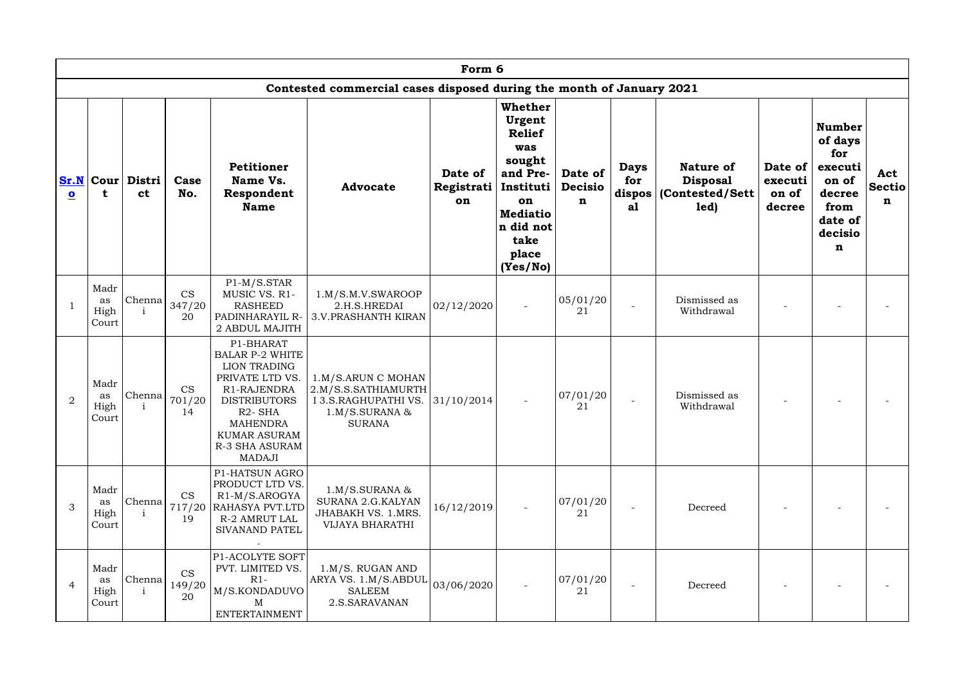|                                 | Form 6                      |                            |                           |                                                                                                                                                                                                                  |                                                                                                      |                             |                                                                                                                                                 |                                          |                          |                                                                         |                                       |                                                                                                            |                           |
|---------------------------------|-----------------------------|----------------------------|---------------------------|------------------------------------------------------------------------------------------------------------------------------------------------------------------------------------------------------------------|------------------------------------------------------------------------------------------------------|-----------------------------|-------------------------------------------------------------------------------------------------------------------------------------------------|------------------------------------------|--------------------------|-------------------------------------------------------------------------|---------------------------------------|------------------------------------------------------------------------------------------------------------|---------------------------|
|                                 |                             |                            |                           |                                                                                                                                                                                                                  | Contested commercial cases disposed during the month of January 2021                                 |                             |                                                                                                                                                 |                                          |                          |                                                                         |                                       |                                                                                                            |                           |
| Sr.N<br>$\overline{\mathbf{o}}$ |                             | Cour   Distri<br><b>ct</b> | Case<br>No.               | <b>Petitioner</b><br>Name Vs.<br>Respondent<br><b>Name</b>                                                                                                                                                       | <b>Advocate</b>                                                                                      | Date of<br>Registrati<br>on | Whether<br>Urgent<br><b>Relief</b><br>was<br>sought<br>and Pre-<br>Instituti<br>on<br><b>Mediatio</b><br>n did not<br>take<br>place<br>(Yes/No) | Date of<br><b>Decisio</b><br>$\mathbf n$ | <b>Days</b><br>for<br>al | <b>Nature of</b><br><b>Disposal</b><br>dispos   (Contested/Sett<br>led) | Date of<br>executi<br>on of<br>decree | <b>Number</b><br>of days<br>for<br>executi<br>on of<br>decree<br>from<br>date of<br>decisio<br>$\mathbf n$ | Act<br><b>Sectio</b><br>n |
|                                 | Madr<br>as<br>High<br>Court | Chenna                     | <b>CS</b><br>347/20<br>20 | $P1-M/S.STAR$<br>MUSIC VS. R1-<br><b>RASHEED</b><br>PADINHARAYIL R-<br>2 ABDUL MAJITH                                                                                                                            | 1.M/S.M.V.SWAROOP<br>2.H.S.HREDAI<br><b>3.V.PRASHANTH KIRAN</b>                                      | 02/12/2020                  |                                                                                                                                                 | 05/01/20<br>21                           |                          | Dismissed as<br>Withdrawal                                              |                                       |                                                                                                            |                           |
| 2                               | Madr<br>as<br>High<br>Court | Chenna<br>i                | <b>CS</b><br>701/20<br>14 | P1-BHARAT<br><b>BALAR P-2 WHITE</b><br><b>LION TRADING</b><br>PRIVATE LTD VS.<br>R1-RAJENDRA<br><b>DISTRIBUTORS</b><br>R <sub>2</sub> -SHA<br><b>MAHENDRA</b><br><b>KUMAR ASURAM</b><br>R-3 SHA ASURAM<br>MADAJI | 1.M/S.ARUN C MOHAN<br>2.M/S.S.SATHIAMURTH<br>I 3.S.RAGHUPATHI VS.<br>1.M/S.SURANA &<br><b>SURANA</b> | 31/10/2014                  |                                                                                                                                                 | 07/01/20<br>21                           |                          | Dismissed as<br>Withdrawal                                              |                                       |                                                                                                            |                           |
| 3                               | Madr<br>as<br>High<br>Court | Chenna                     | <b>CS</b><br>19           | P1-HATSUN AGRO<br>PRODUCT LTD VS.<br>R <sub>1</sub> -M/S.AROGYA<br>717/20 RAHASYA PVT.LTD<br><b>R-2 AMRUT LAL</b><br>SIVANAND PATEL                                                                              | 1.M/S.SURANA &<br>SURANA 2.G.KALYAN<br>JHABAKH VS. 1.MRS.<br><b>VIJAYA BHARATHI</b>                  | 16/12/2019                  |                                                                                                                                                 | 07/01/20 <br>21                          |                          | Decreed                                                                 |                                       |                                                                                                            |                           |
| $\overline{4}$                  | Madr<br>as<br>High<br>Court | Chenna                     | <b>CS</b><br>149/20<br>20 | P1-ACOLYTE SOFT<br>PVT. LIMITED VS.<br>$R1-$<br>M/S.KONDADUVO<br>M<br>ENTERTAINMENT                                                                                                                              | $1.M/S.$ RUGAN AND<br>ARYA VS. 1.M/S.ABDUL<br><b>SALEEM</b><br>2.S.SARAVANAN                         | 03/06/2020                  |                                                                                                                                                 | 07/01/20 <br>21                          |                          | Decreed                                                                 |                                       |                                                                                                            |                           |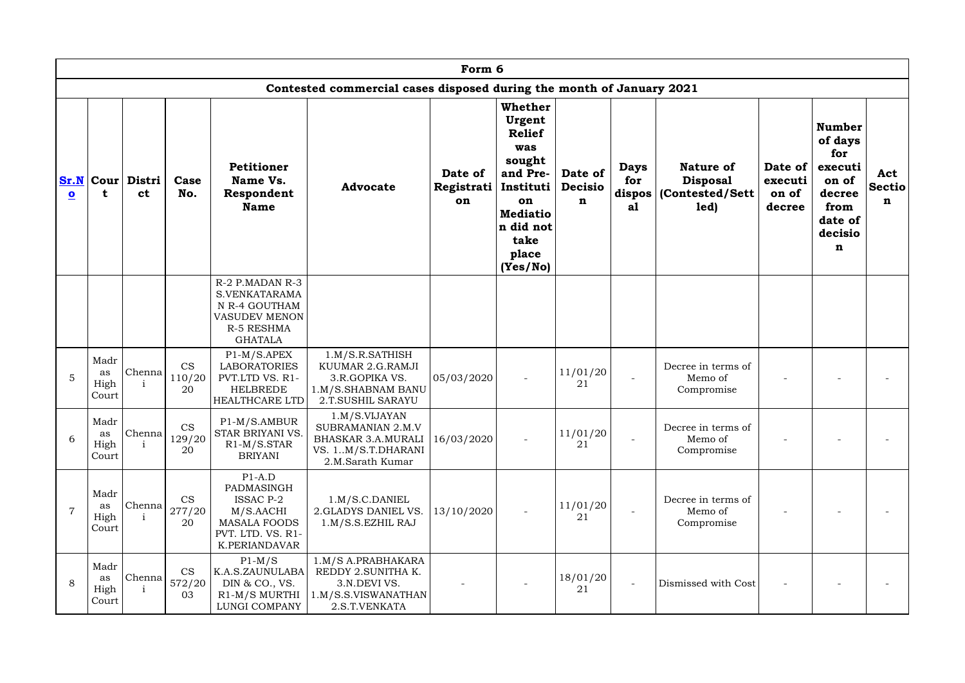|                         | Form 6                      |                                   |                                              |                                                                                                                      |                                                                                                           |                             |                                                                                                                                                          |                                |                          |                                                                         |                                       |                                                                                                  |                           |
|-------------------------|-----------------------------|-----------------------------------|----------------------------------------------|----------------------------------------------------------------------------------------------------------------------|-----------------------------------------------------------------------------------------------------------|-----------------------------|----------------------------------------------------------------------------------------------------------------------------------------------------------|--------------------------------|--------------------------|-------------------------------------------------------------------------|---------------------------------------|--------------------------------------------------------------------------------------------------|---------------------------|
|                         |                             |                                   |                                              |                                                                                                                      | Contested commercial cases disposed during the month of January 2021                                      |                             |                                                                                                                                                          |                                |                          |                                                                         |                                       |                                                                                                  |                           |
| $\overline{\mathbf{o}}$ |                             | Sr.N   Cour   Distri<br><b>ct</b> | Case<br>No.                                  | <b>Petitioner</b><br>Name Vs.<br>Respondent<br><b>Name</b>                                                           | <b>Advocate</b>                                                                                           | Date of<br>Registrati<br>on | <b>Whether</b><br>Urgent<br><b>Relief</b><br>was<br>sought<br>and Pre-<br>Instituti  <br>on<br><b>Mediatio</b><br>n did not<br>take<br>place<br>(Yes/No) | Date of<br><b>Decisio</b><br>n | <b>Days</b><br>for<br>al | <b>Nature of</b><br><b>Disposal</b><br>dispos   (Contested/Sett<br>led) | Date of<br>executi<br>on of<br>decree | <b>Number</b><br>of days<br>for<br>executi<br>on of<br>decree<br>from<br>date of<br>decisio<br>n | Act<br><b>Sectio</b><br>n |
|                         |                             |                                   |                                              | R-2 P.MADAN R-3<br>S.VENKATARAMA<br>N R-4 GOUTHAM<br><b>VASUDEV MENON</b><br><b>R-5 RESHMA</b><br><b>GHATALA</b>     |                                                                                                           |                             |                                                                                                                                                          |                                |                          |                                                                         |                                       |                                                                                                  |                           |
| 5                       | Madr<br>as<br>High<br>Court | Chenna                            | <b>CS</b><br>110/20<br>20                    | $P1-M/S.APEX$<br><b>LABORATORIES</b><br>PVT.LTD VS. R1-<br><b>HELBREDE</b><br>HEALTHCARE LTD                         | 1.M/S.R.SATHISH<br>KUUMAR 2.G.RAMJI<br>3.R.GOPIKA VS.<br>1.M/S.SHABNAM BANU<br>2.T.SUSHIL SARAYU          | 05/03/2020                  |                                                                                                                                                          | 11/01/20<br>21                 |                          | Decree in terms of<br>Memo of<br>Compromise                             |                                       |                                                                                                  |                           |
| 6                       | Madr<br>as<br>High<br>Court | Chenna                            | <b>CS</b><br>129/20<br>20                    | P1-M/S.AMBUR<br>STAR BRIYANI VS.<br>$R1-M/S.STAR$<br><b>BRIYANI</b>                                                  | 1.M/S.VIJAYAN<br>SUBRAMANIAN 2.M.V<br><b>BHASKAR 3.A.MURALI</b><br>VS. 1M/S.T.DHARANI<br>2.M.Sarath Kumar | 16/03/2020                  |                                                                                                                                                          | 11/01/20<br>21                 |                          | Decree in terms of<br>Memo of<br>Compromise                             |                                       |                                                                                                  |                           |
|                         | Madr<br>as<br>High<br>Court | Chenna                            | <b>CS</b><br>277/20<br>20                    | $P1-A.D$<br>PADMASINGH<br><b>ISSAC P-2</b><br>M/S.AACHI<br><b>MASALA FOODS</b><br>PVT. LTD. VS. R1-<br>K.PERIANDAVAR | 1.M/S.C.DANIEL<br>2.GLADYS DANIEL VS.<br>1.M/S.S. EZHIL RAJ                                               | 13/10/2020                  |                                                                                                                                                          | 11/01/20<br>21                 |                          | Decree in terms of<br>Memo of<br>Compromise                             |                                       |                                                                                                  |                           |
| 8                       | Madr<br>as<br>High<br>Court |                                   | <b>CS</b><br>$ {\rm Chenna} _{572/20}$<br>03 | $P1-M/S$<br>K.A.S.ZAUNULABA<br>DIN & CO., VS.<br>R1-M/S MURTHI<br>LUNGI COMPANY                                      | 1.M/S A.PRABHAKARA<br>REDDY 2.SUNITHA K.<br>3.N.DEVI VS.<br>1.M/S.S.VISWANATHAN<br>2.S.T.VENKATA          |                             |                                                                                                                                                          | 18/01/20<br>21                 |                          | Dismissed with Cost                                                     |                                       |                                                                                                  |                           |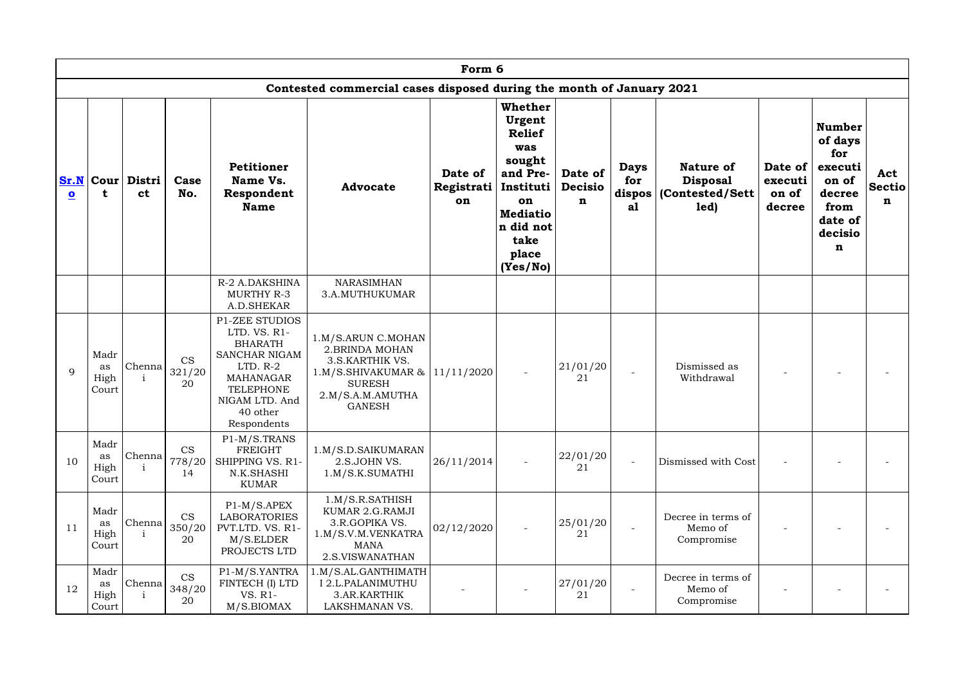|                                 | Form 6                      |                                     |                           |                                                                                                                                                                             |                                                                                                                                         |                             |                                                                                                                                                 |                                          |                          |                                                                         |                                       |                                                                                                  |                           |
|---------------------------------|-----------------------------|-------------------------------------|---------------------------|-----------------------------------------------------------------------------------------------------------------------------------------------------------------------------|-----------------------------------------------------------------------------------------------------------------------------------------|-----------------------------|-------------------------------------------------------------------------------------------------------------------------------------------------|------------------------------------------|--------------------------|-------------------------------------------------------------------------|---------------------------------------|--------------------------------------------------------------------------------------------------|---------------------------|
|                                 |                             |                                     |                           |                                                                                                                                                                             | Contested commercial cases disposed during the month of January 2021                                                                    |                             |                                                                                                                                                 |                                          |                          |                                                                         |                                       |                                                                                                  |                           |
| Sr.N<br>$\overline{\mathbf{o}}$ | t                           | Cour Distri<br><b>ct</b>            | Case<br>No.               | <b>Petitioner</b><br>Name Vs.<br>Respondent<br><b>Name</b>                                                                                                                  | <b>Advocate</b>                                                                                                                         | Date of<br>Registrati<br>on | Whether<br>Urgent<br><b>Relief</b><br>was<br>sought<br>and Pre-<br>Instituti<br>on<br><b>Mediatio</b><br>n did not<br>take<br>place<br>(Yes/No) | Date of<br><b>Decisio</b><br>$\mathbf n$ | <b>Days</b><br>for<br>al | <b>Nature of</b><br><b>Disposal</b><br>dispos   (Contested/Sett<br>led) | Date of<br>executi<br>on of<br>decree | <b>Number</b><br>of days<br>for<br>executi<br>on of<br>decree<br>from<br>date of<br>decisio<br>n | Act<br><b>Sectio</b><br>n |
|                                 |                             |                                     |                           | R-2 A.DAKSHINA<br><b>MURTHY R-3</b><br>A.D.SHEKAR                                                                                                                           | <b>NARASIMHAN</b><br>3.A.MUTHUKUMAR                                                                                                     |                             |                                                                                                                                                 |                                          |                          |                                                                         |                                       |                                                                                                  |                           |
| 9                               | Madr<br>as<br>High<br>Court | Chenna                              | <b>CS</b><br>321/20<br>20 | <b>P1-ZEE STUDIOS</b><br>LTD. VS. R1-<br><b>BHARATH</b><br>SANCHAR NIGAM<br>$LTD. R-2$<br><b>MAHANAGAR</b><br><b>TELEPHONE</b><br>NIGAM LTD. And<br>40 other<br>Respondents | 1.M/S.ARUN C.MOHAN<br>2. BRINDA MOHAN<br>3.S.KARTHIK VS.<br>$1.M/S.SHIVAKUMAR \&$<br><b>SURESH</b><br>2.M/S.A.M.AMUTHA<br><b>GANESH</b> | 11/11/2020                  |                                                                                                                                                 | 21/01/20<br>21                           |                          | Dismissed as<br>Withdrawal                                              |                                       |                                                                                                  |                           |
| 10                              | Madr<br>as<br>High<br>Court | Chenna <sup> </sup><br>$\mathbf{i}$ | <b>CS</b><br>778/20<br>14 | P1-M/S.TRANS<br>FREIGHT<br>SHIPPING VS. R1-<br>N.K.SHASHI<br><b>KUMAR</b>                                                                                                   | 1.M/S.D.SAIKUMARAN<br>2.S.JOHN VS.<br>1.M/S.K.SUMATHI                                                                                   | 26/11/2014                  |                                                                                                                                                 | 22/01/20<br>21                           | $\blacksquare$           | Dismissed with Cost                                                     |                                       |                                                                                                  |                           |
| 11                              | Madr<br>as<br>High<br>Court | Chenna                              | <b>CS</b><br>350/20<br>20 | $P1-M/S.APEX$<br><b>LABORATORIES</b><br>PVT.LTD. VS. R1-<br>M/S. ELDER<br>PROJECTS LTD                                                                                      | 1.M/S.R.SATHISH<br>KUMAR 2.G.RAMJI<br>3.R.GOPIKA VS.<br>1.M/S.V.M.VENKATRA<br>MANA<br>2.S.VISWANATHAN                                   | 02/12/2020                  |                                                                                                                                                 | 25/01/20<br>21                           |                          | Decree in terms of<br>Memo of<br>Compromise                             |                                       |                                                                                                  |                           |
| 12                              | Madr<br>as<br>High<br>Court | Chenna                              | CS<br>348/20<br>20        | P1-M/S.YANTRA<br>FINTECH (I) LTD<br>VS. R1-<br>M/S.BIOMAX                                                                                                                   | 1.M/S.AL.GANTHIMATH<br>I 2.L.PALANIMUTHU<br>3.AR.KARTHIK<br>LAKSHMANAN VS.                                                              |                             |                                                                                                                                                 | 27/01/20<br>21                           |                          | Decree in terms of<br>Memo of<br>Compromise                             |                                       |                                                                                                  |                           |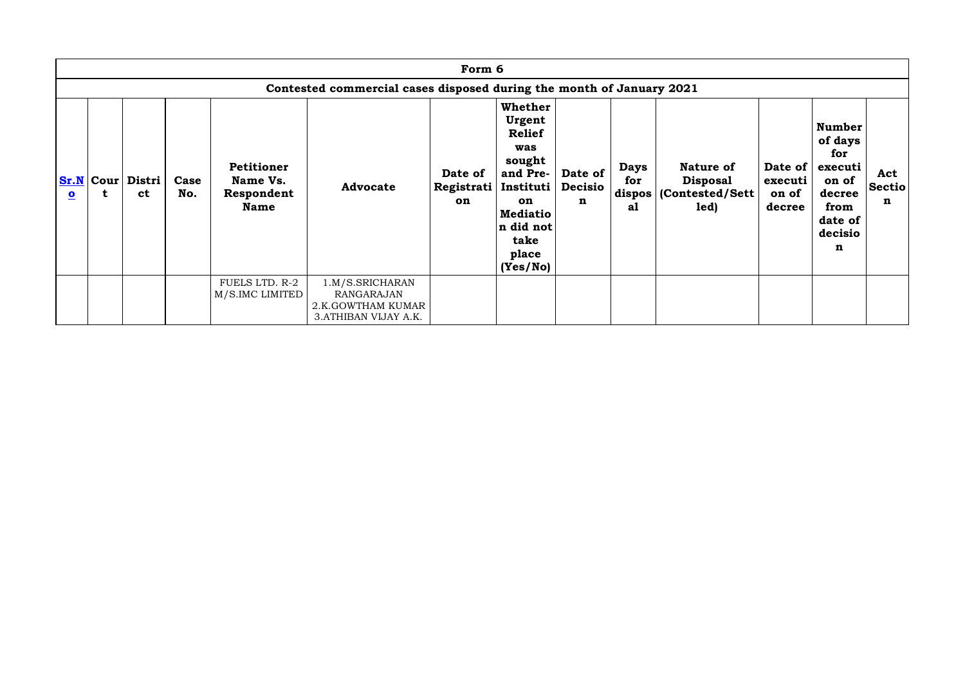|                         |                                                                      |                                   |             |                                                            |                                                                             | Form 6                      |                                                                                                                                                     |                                |                          |                                                                           |                                       |                                                                                                  |                           |  |
|-------------------------|----------------------------------------------------------------------|-----------------------------------|-------------|------------------------------------------------------------|-----------------------------------------------------------------------------|-----------------------------|-----------------------------------------------------------------------------------------------------------------------------------------------------|--------------------------------|--------------------------|---------------------------------------------------------------------------|---------------------------------------|--------------------------------------------------------------------------------------------------|---------------------------|--|
|                         | Contested commercial cases disposed during the month of January 2021 |                                   |             |                                                            |                                                                             |                             |                                                                                                                                                     |                                |                          |                                                                           |                                       |                                                                                                  |                           |  |
| $\overline{\mathbf{o}}$ | t                                                                    | Sr.N   Cour   Distri<br><b>ct</b> | Case<br>No. | <b>Petitioner</b><br>Name Vs.<br>Respondent<br><b>Name</b> | <b>Advocate</b>                                                             | Date of<br>Registrati<br>on | Whether<br>Urgent<br><b>Relief</b><br>was<br>sought<br>and Pre-<br>  Instituti  <br>on<br><b>Mediatio</b><br>n did not<br>take<br>place<br>(Yes/No) | Date of<br><b>Decisio</b><br>n | <b>Days</b><br>for<br>al | <b>Nature of</b><br><b>Disposal</b><br>dispos   (Contested/Sett  <br>led) | Date of<br>executi<br>on of<br>decree | <b>Number</b><br>of days<br>for<br>executi<br>on of<br>decree<br>from<br>date of<br>decisio<br>n | Act<br><b>Sectio</b><br>n |  |
|                         |                                                                      |                                   |             | FUELS LTD. R-2<br>M/S.IMC LIMITED                          | 1.M/S.SRICHARAN<br>RANGARAJAN<br>2.K.GOWTHAM KUMAR<br>3. ATHIBAN VIJAY A.K. |                             |                                                                                                                                                     |                                |                          |                                                                           |                                       |                                                                                                  |                           |  |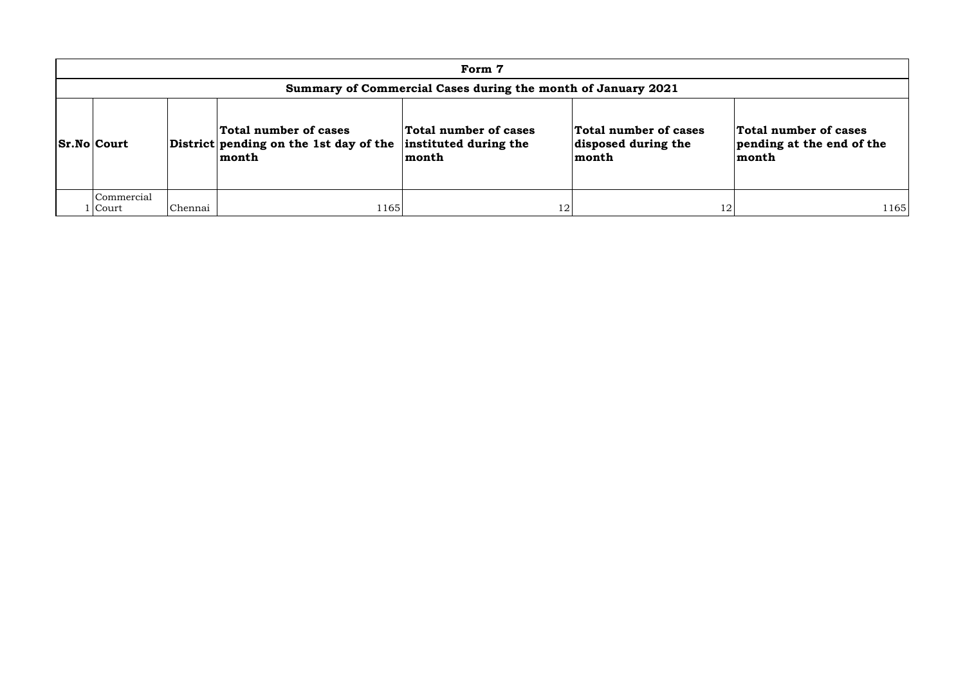|                                                              | Form 7                |         |                                                                          |                                                         |                                                       |                                                             |  |  |  |  |  |  |  |
|--------------------------------------------------------------|-----------------------|---------|--------------------------------------------------------------------------|---------------------------------------------------------|-------------------------------------------------------|-------------------------------------------------------------|--|--|--|--|--|--|--|
| Summary of Commercial Cases during the month of January 2021 |                       |         |                                                                          |                                                         |                                                       |                                                             |  |  |  |  |  |  |  |
|                                                              | <b>Sr.No Court</b>    |         | Total number of cases<br>District pending on the 1st day of the<br>month | Total number of cases<br>instituted during the<br>month | Total number of cases<br>disposed during the<br>month | Total number of cases<br>pending at the end of the<br>month |  |  |  |  |  |  |  |
|                                                              | Commercial<br>l Court | Chennai | 1165                                                                     | 12                                                      | 1 $\cap$                                              | 1165                                                        |  |  |  |  |  |  |  |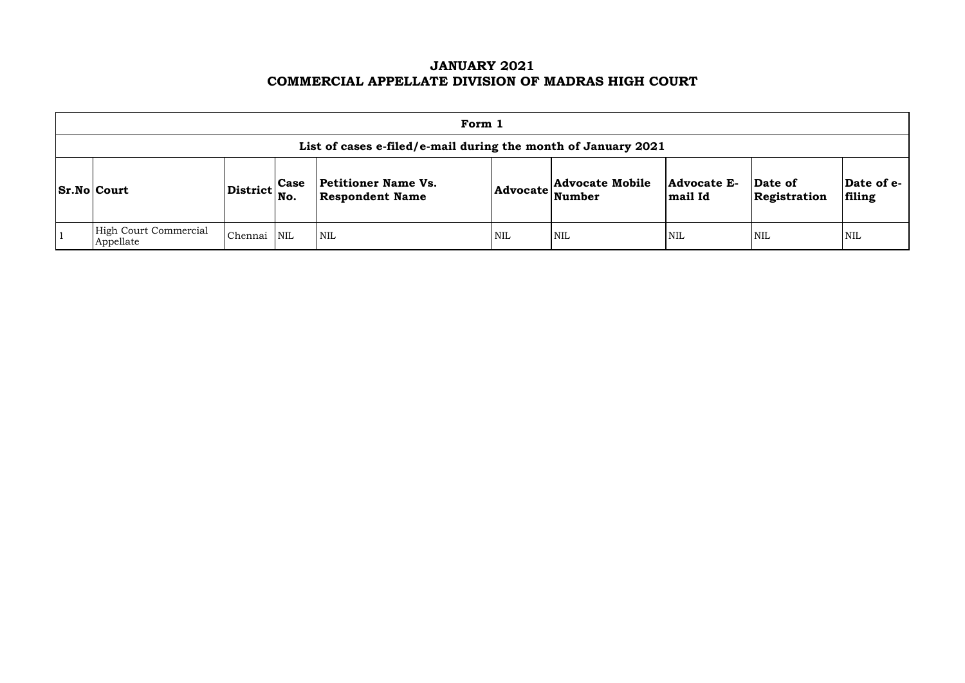# **JANUARY 2021 COMMERCIAL APPELLATE DIVISION OF MADRAS HIGH COURT**

| Form 1                                                        |                                   |             |                                                      |            |                                                                                                             |                               |                         |                      |  |  |  |
|---------------------------------------------------------------|-----------------------------------|-------------|------------------------------------------------------|------------|-------------------------------------------------------------------------------------------------------------|-------------------------------|-------------------------|----------------------|--|--|--|
| List of cases e-filed/e-mail during the month of January 2021 |                                   |             |                                                      |            |                                                                                                             |                               |                         |                      |  |  |  |
| <b>Sr.No Court</b>                                            | $ {\rm District} {\rm \Big }$ No. | <b>Case</b> | <b>Petitioner Name Vs.</b><br><b>Respondent Name</b> |            | <b>Advocate Mobile</b><br>$ {\bf Advocate}\left  \begin{array}{l}\text{}\\ \text{Number}\end{array}\right $ | <b>Advocate E-</b><br>mail Id | Date of<br>Registration | Date of e-<br>filing |  |  |  |
| High Court Commercial<br>Appellate                            | Chennai                           | <b>NIL</b>  | $\mathsf{I}\,\mathrm{NIL}$                           | <b>NIL</b> | <b>NIL</b>                                                                                                  | <b>NIL</b>                    | <b>NIL</b>              | <b>NIL</b>           |  |  |  |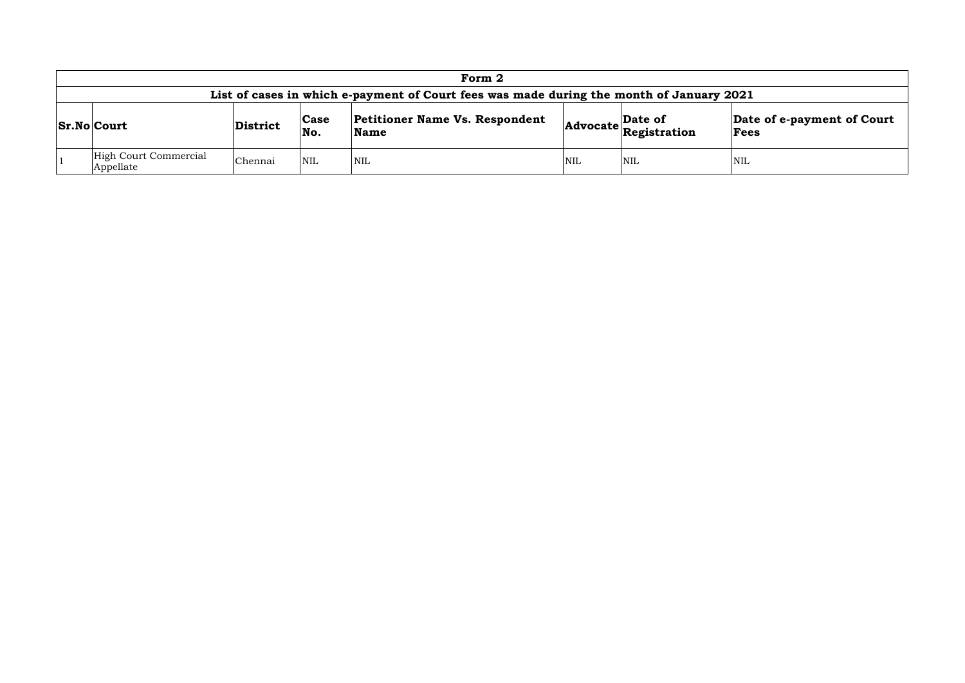| Form 2                                                                                                                                                                                        |         |            |            |     |            |     |  |  |  |  |  |
|-----------------------------------------------------------------------------------------------------------------------------------------------------------------------------------------------|---------|------------|------------|-----|------------|-----|--|--|--|--|--|
| List of cases in which e-payment of Court fees was made during the month of January 2021                                                                                                      |         |            |            |     |            |     |  |  |  |  |  |
| <b>Petitioner Name Vs. Respondent</b><br>Date of e-payment of Court<br>Date of<br>Case<br><b>Sr.No Court</b><br>District<br>$ {\bf Advocate}\big $ Registration<br>No.<br><b>Name</b><br>Fees |         |            |            |     |            |     |  |  |  |  |  |
| High Court Commercial<br>Appellate                                                                                                                                                            | Chennai | <b>NIL</b> | <b>NIL</b> | NIL | <b>NIL</b> | NIL |  |  |  |  |  |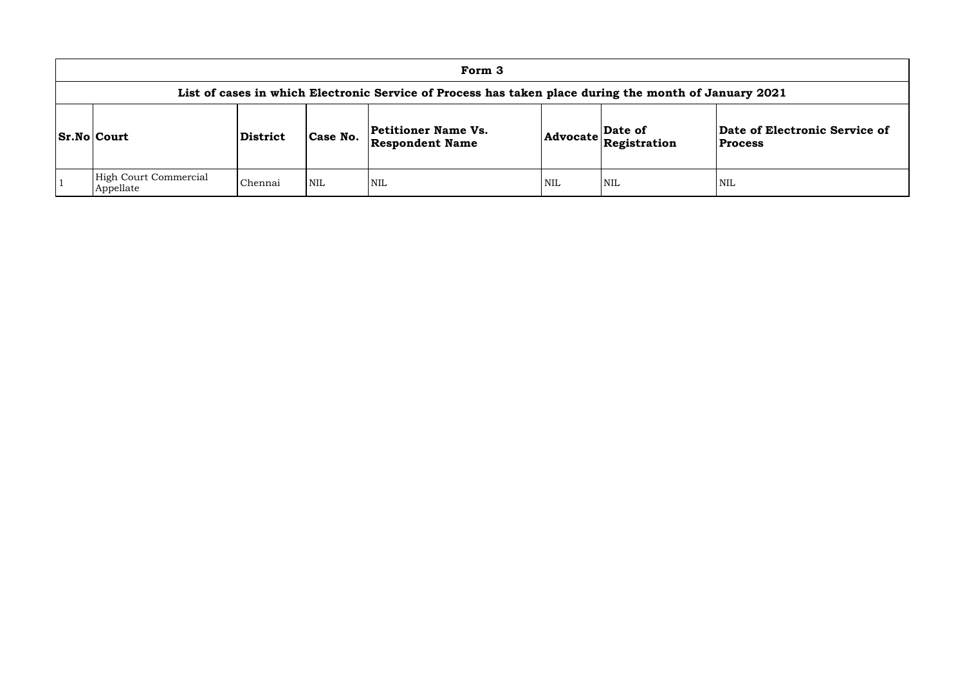|                                                                                                                                                                                                                          |                                                                                                       |         |            | Form 3     |            |            |     |  |  |  |  |  |
|--------------------------------------------------------------------------------------------------------------------------------------------------------------------------------------------------------------------------|-------------------------------------------------------------------------------------------------------|---------|------------|------------|------------|------------|-----|--|--|--|--|--|
|                                                                                                                                                                                                                          | List of cases in which Electronic Service of Process has taken place during the month of January 2021 |         |            |            |            |            |     |  |  |  |  |  |
| Date of Ele<br><b>Petitioner Name Vs.</b><br>Date of<br>$ {\bf Advocate} \overline{\bf \mathop{Registration}\nolimits}$<br>Case No.<br><b>Sr.No Court</b><br><b>District</b><br><b>Respondent Name</b><br><b>Process</b> |                                                                                                       |         |            |            |            |            |     |  |  |  |  |  |
|                                                                                                                                                                                                                          | High Court Commercial<br>Appellate                                                                    | Chennai | <b>NIL</b> | <b>NIL</b> | <b>NIL</b> | <b>NIL</b> | NIL |  |  |  |  |  |

## **Date of Electronic Service of Process**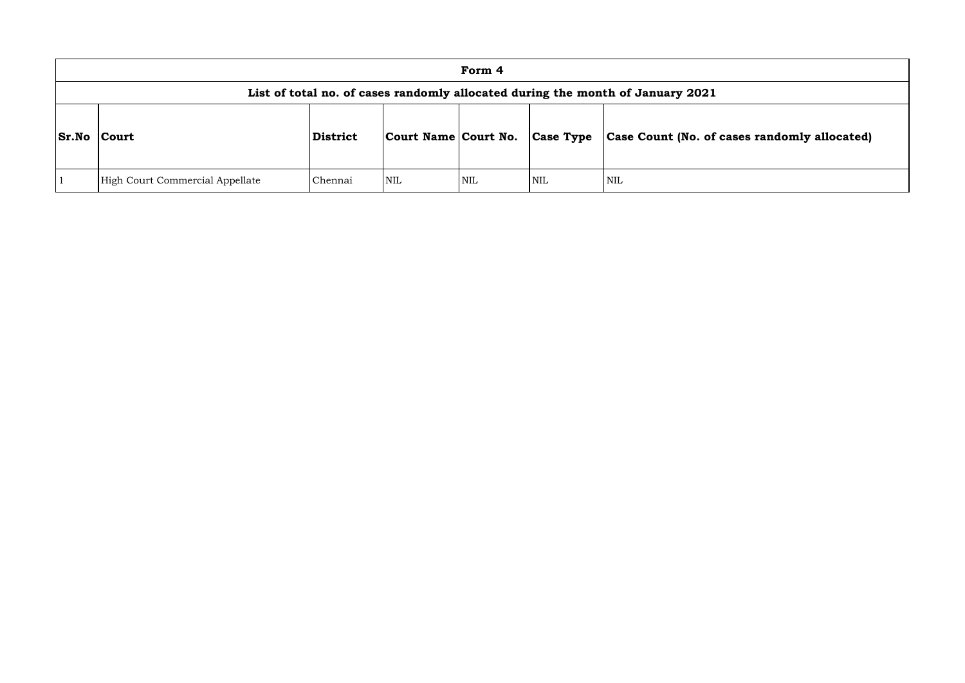|              |                                                                                |          |                      | Form 4 |                  |                       |  |  |  |  |  |  |
|--------------|--------------------------------------------------------------------------------|----------|----------------------|--------|------------------|-----------------------|--|--|--|--|--|--|
|              | List of total no. of cases randomly allocated during the month of January 2021 |          |                      |        |                  |                       |  |  |  |  |  |  |
| <b>Sr.No</b> | <b>Court</b>                                                                   | District | Court Name Court No. |        | <b>Case Type</b> | Case Count (No. of ca |  |  |  |  |  |  |
|              | High Court Commercial Appellate                                                | Chennai  | NIL                  | NIL    | NIL              | <b>NIL</b>            |  |  |  |  |  |  |

# **Sr.No Court District Court Name Court No. Case Type Case Count (No. of cases randomly allocated)**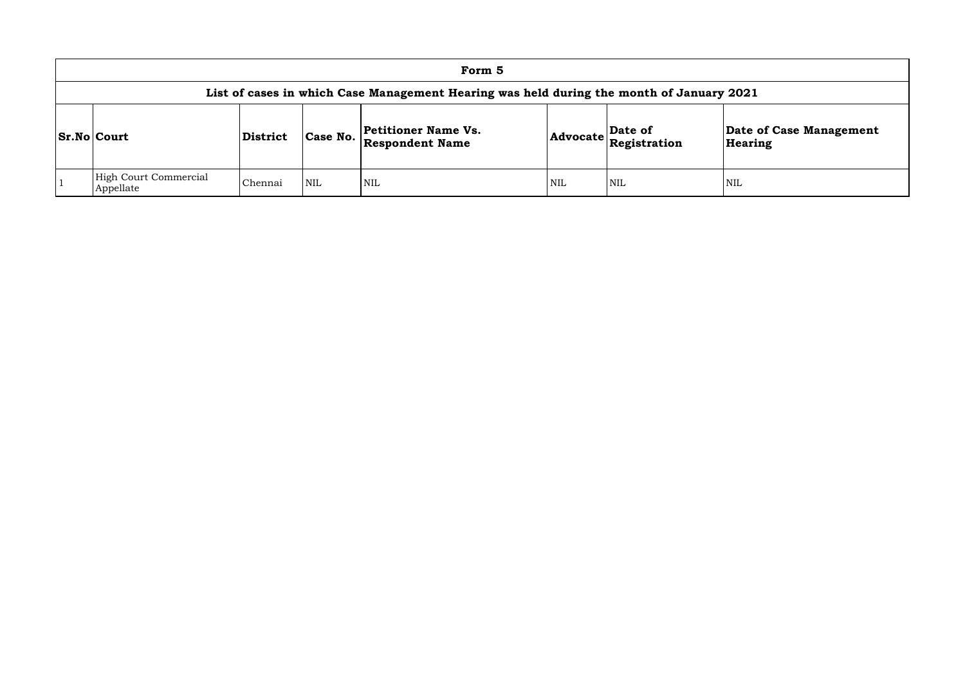| Form 5                                                                                   |          |            |                                               |            |                                                        |               |  |  |  |  |  |
|------------------------------------------------------------------------------------------|----------|------------|-----------------------------------------------|------------|--------------------------------------------------------|---------------|--|--|--|--|--|
| List of cases in which Case Management Hearing was held during the month of January 2021 |          |            |                                               |            |                                                        |               |  |  |  |  |  |
| <b>Sr.No Court</b>                                                                       | District | Case No.   | Petitioner Name Vs.<br><b>Respondent Name</b> |            | Date of<br>$ \textbf{Advocate} \textbf{Registration} $ | Date<br>Heari |  |  |  |  |  |
| <b>High Court Commercial</b><br>Appellate                                                | Chennai  | <b>NIL</b> | <b>NIL</b>                                    | <b>NIL</b> | NIL                                                    | <b>NIL</b>    |  |  |  |  |  |

# **Date of Case Management Hearing**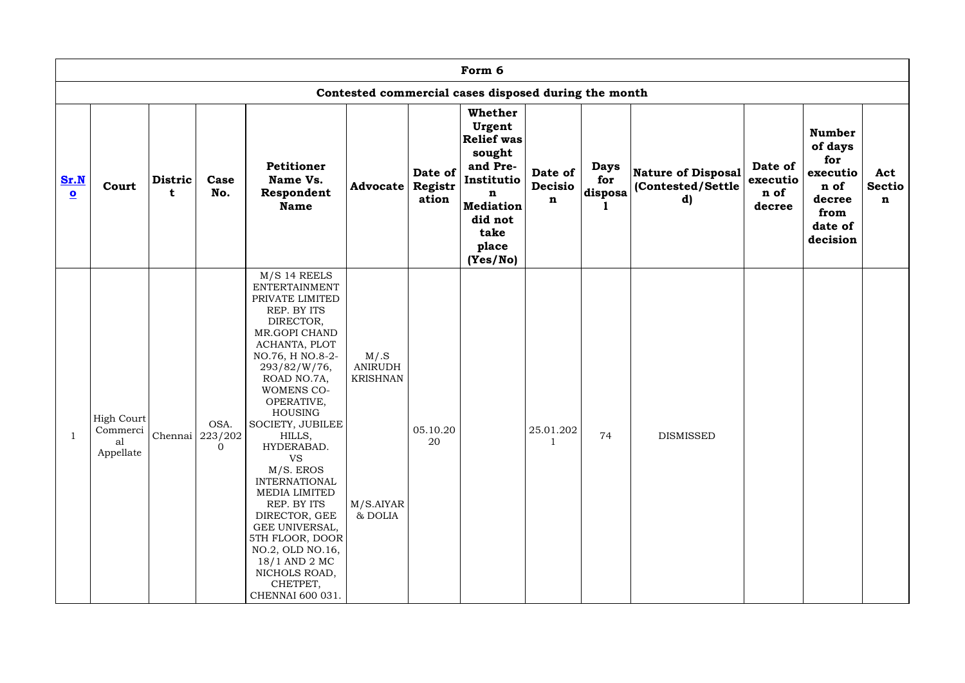|                                 |                                           |              |                                     |                                                                                                                                                                                                                                                                                                                                                                                                                                                                                                             |                                                                  |                             | Form 6                                                                                                                                             |                                          |                                |                                                      |                                       |                                                                                              |                                     |
|---------------------------------|-------------------------------------------|--------------|-------------------------------------|-------------------------------------------------------------------------------------------------------------------------------------------------------------------------------------------------------------------------------------------------------------------------------------------------------------------------------------------------------------------------------------------------------------------------------------------------------------------------------------------------------------|------------------------------------------------------------------|-----------------------------|----------------------------------------------------------------------------------------------------------------------------------------------------|------------------------------------------|--------------------------------|------------------------------------------------------|---------------------------------------|----------------------------------------------------------------------------------------------|-------------------------------------|
|                                 |                                           |              |                                     |                                                                                                                                                                                                                                                                                                                                                                                                                                                                                                             |                                                                  |                             | Contested commercial cases disposed during the month                                                                                               |                                          |                                |                                                      |                                       |                                                                                              |                                     |
| Sr.N<br>$\overline{\mathbf{o}}$ | Court                                     | Distric<br>t | Case<br>No.                         | <b>Petitioner</b><br>Name Vs.<br>Respondent<br><b>Name</b>                                                                                                                                                                                                                                                                                                                                                                                                                                                  | Advocate                                                         | Date of<br>Registr<br>ation | <b>Whether</b><br>Urgent<br><b>Relief was</b><br>sought<br>and Pre-<br>Institutio<br>n<br><b>Mediation</b><br>did not<br>take<br>place<br>(Yes/No) | Date of<br><b>Decisio</b><br>$\mathbf n$ | <b>Days</b><br>for<br>disposa' | <b>Nature of Disposal</b><br>(Contested/Settle<br>d) | Date of<br>executio<br>n of<br>decree | <b>Number</b><br>of days<br>for<br>executio<br>n of<br>decree<br>from<br>date of<br>decision | Act<br><b>Sectio</b><br>$\mathbf n$ |
|                                 | High Court<br>Commerci<br>al<br>Appellate |              | OSA.<br>Chennai 223/202<br>$\Omega$ | $M/S$ 14 REELS<br><b>ENTERTAINMENT</b><br>PRIVATE LIMITED<br>REP. BY ITS<br>DIRECTOR,<br>MR.GOPI CHAND<br>ACHANTA, PLOT<br>NO.76, H NO.8-2-<br>293/82/W/76,<br>ROAD NO.7A,<br><b>WOMENS CO-</b><br>OPERATIVE,<br><b>HOUSING</b><br>SOCIETY, JUBILEE<br>HILLS,<br>HYDERABAD.<br><b>VS</b><br>$M/S.$ EROS<br><b>INTERNATIONAL</b><br>MEDIA LIMITED<br>REP. BY ITS<br>DIRECTOR, GEE<br>GEE UNIVERSAL,<br>5TH FLOOR, DOOR<br>NO.2, OLD NO.16,<br>18/1 AND 2 MC<br>NICHOLS ROAD,<br>CHETPET,<br>CHENNAI 600 031. | M/S<br><b>ANIRUDH</b><br><b>KRISHNAN</b><br>M/S.AIYAR<br>& DOLIA | 05.10.20<br>20              |                                                                                                                                                    | 25.01.202                                | 74                             | <b>DISMISSED</b>                                     |                                       |                                                                                              |                                     |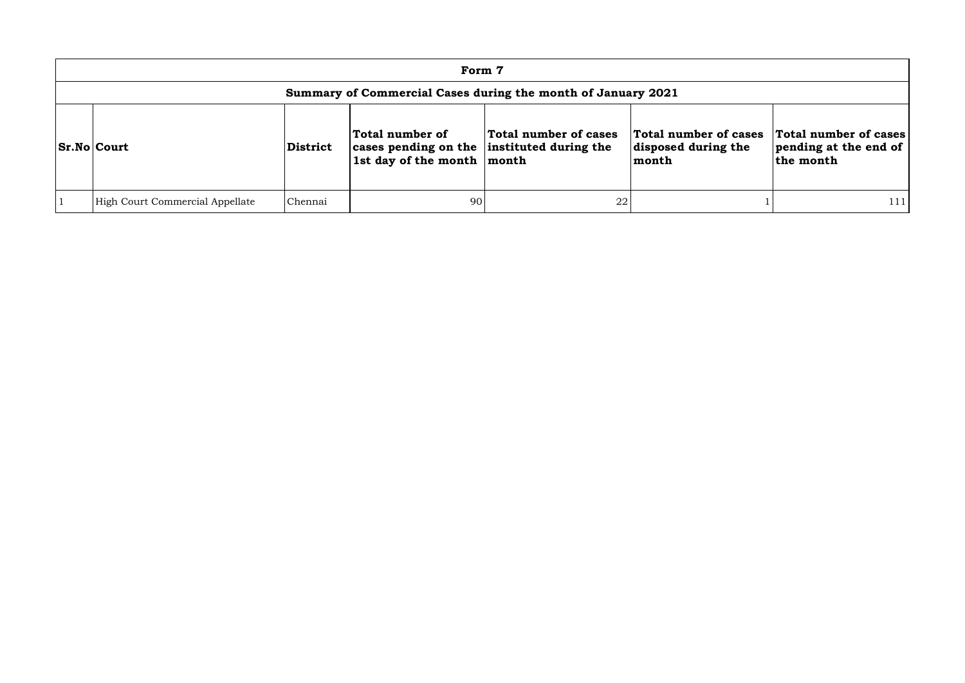| Form 7                                                       |                 |                                                                                             |                       |                                                       |                                                             |  |  |  |  |
|--------------------------------------------------------------|-----------------|---------------------------------------------------------------------------------------------|-----------------------|-------------------------------------------------------|-------------------------------------------------------------|--|--|--|--|
| Summary of Commercial Cases during the month of January 2021 |                 |                                                                                             |                       |                                                       |                                                             |  |  |  |  |
| <b>Sr.No Court</b>                                           | <b>District</b> | Total number of<br>cases pending on the instituted during the<br>1st day of the month month | Total number of cases | Total number of cases<br>disposed during the<br>month | Total number of cases<br>pending at the end of<br>the month |  |  |  |  |
| High Court Commercial Appellate                              | Chennai         | 90                                                                                          | 22                    |                                                       | 111                                                         |  |  |  |  |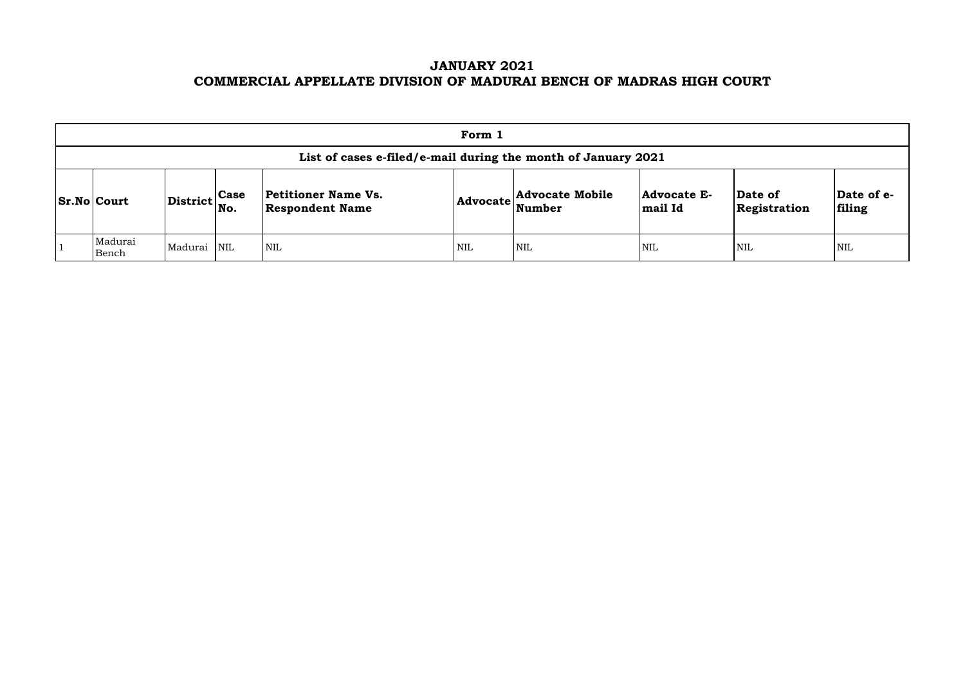# **JANUARY 2021 COMMERCIAL APPELLATE DIVISION OF MADURAI BENCH OF MADRAS HIGH COURT**

|                                                               |                                                           |  |                                                      | Form 1     |                                                            |                               |                                |                       |  |  |  |
|---------------------------------------------------------------|-----------------------------------------------------------|--|------------------------------------------------------|------------|------------------------------------------------------------|-------------------------------|--------------------------------|-----------------------|--|--|--|
| List of cases e-filed/e-mail during the month of January 2021 |                                                           |  |                                                      |            |                                                            |                               |                                |                       |  |  |  |
| <b>Sr.No Court</b>                                            | $\left \text{District}\right _{\text{No.}}^{\text{Case}}$ |  | <b>Petitioner Name Vs.</b><br><b>Respondent Name</b> |            | <b>Advocate Mobile</b><br>$ {\bf Advocate} \text{Number} $ | <b>Advocate E-</b><br>mail Id | <b>Date of</b><br>Registration | $\mathbf{Da}$<br>fili |  |  |  |
| Madurai<br>Bench                                              | Madurai NIL                                               |  | <b>NIL</b>                                           | <b>NIL</b> | <b>NIL</b>                                                 | <b>NIL</b>                    | <b>NIL</b>                     | NIL                   |  |  |  |

| Date of<br>Registration | Date of e-<br>filing |
|-------------------------|----------------------|
| NIL                     | NH.                  |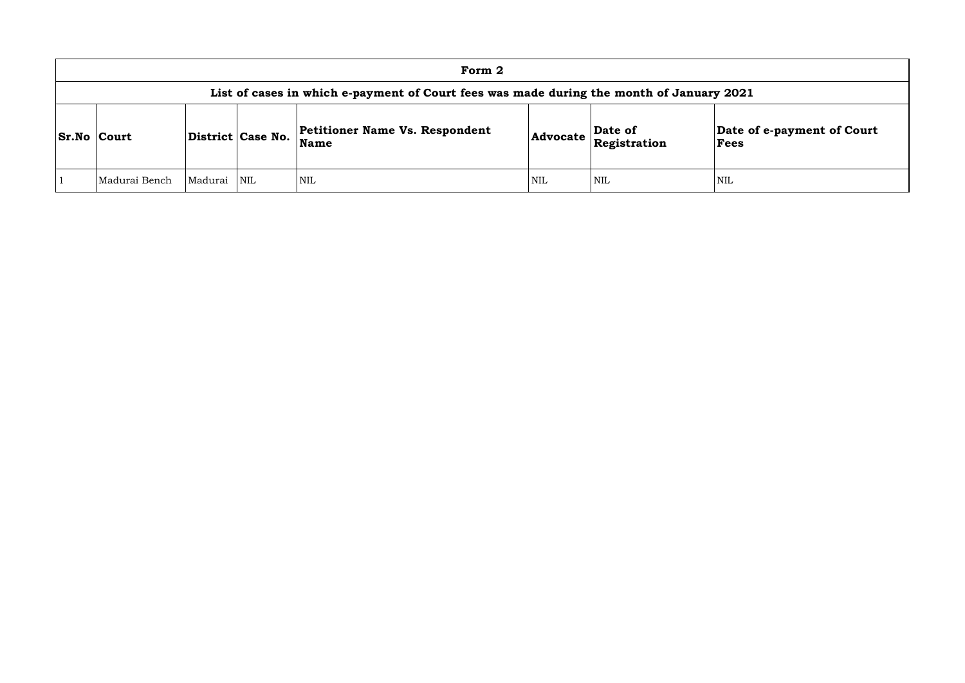|                                                                                          |         |                   | Form 2                                               |     |                                                                         |                |  |  |  |  |
|------------------------------------------------------------------------------------------|---------|-------------------|------------------------------------------------------|-----|-------------------------------------------------------------------------|----------------|--|--|--|--|
| List of cases in which e-payment of Court fees was made during the month of January 2021 |         |                   |                                                      |     |                                                                         |                |  |  |  |  |
| <b>Sr.No Court</b>                                                                       |         | District Case No. | <b>Petitioner Name Vs. Respondent</b><br><b>Name</b> |     | $\vert$ Date of<br>$ {\bf Advocate} \mathbf{\widetilde{Registration}} $ | Date o<br>Fees |  |  |  |  |
| Madurai Bench                                                                            | Madurai | <b>NIL</b>        | <b>NIL</b>                                           | NIL | <b>NIL</b>                                                              | NIL            |  |  |  |  |

## **Date of e-payment of Court Fees**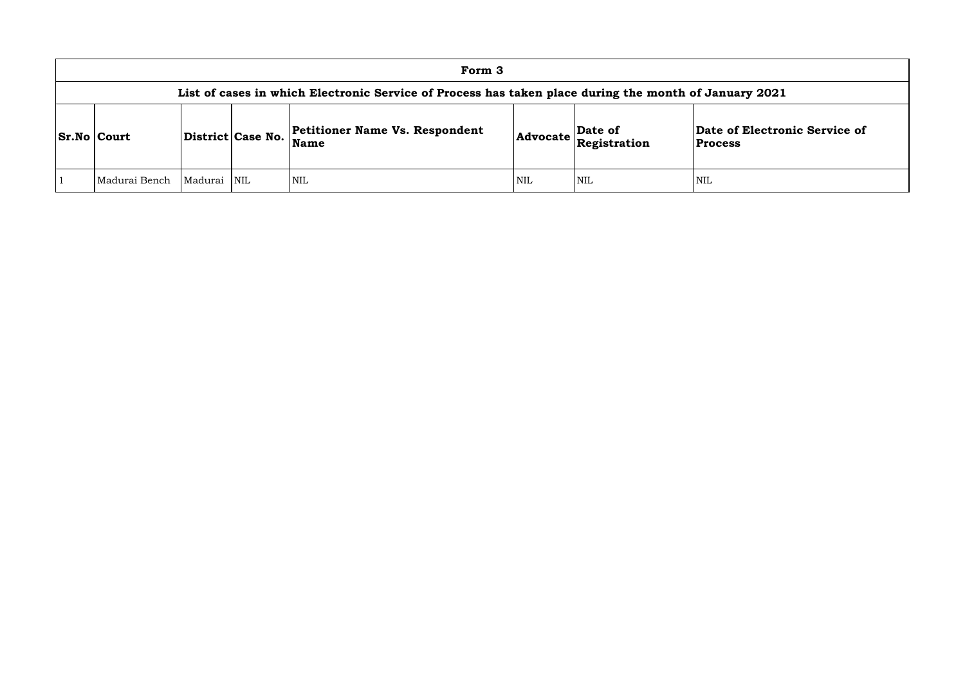## **of Electronic Service of Process**

|                                                                                                       |             |                   | Form 3                                        |            |                                                                                                             |                                   |  |  |  |  |
|-------------------------------------------------------------------------------------------------------|-------------|-------------------|-----------------------------------------------|------------|-------------------------------------------------------------------------------------------------------------|-----------------------------------|--|--|--|--|
| List of cases in which Electronic Service of Process has taken place during the month of January 2021 |             |                   |                                               |            |                                                                                                             |                                   |  |  |  |  |
| <b>Sr.No Court</b>                                                                                    |             | District Case No. | <b>Petitioner Name Vs. Respondent</b><br>Name |            | $\left $ Advocate $\left  \begin{array}{l} \textbf{Date of} \\ \textbf{Registribution} \end{array} \right $ | Date of Electro<br><b>Process</b> |  |  |  |  |
| Madurai Bench                                                                                         | Madurai NIL |                   | <b>NIL</b>                                    | <b>NIL</b> | <b>NIL</b>                                                                                                  | NIL                               |  |  |  |  |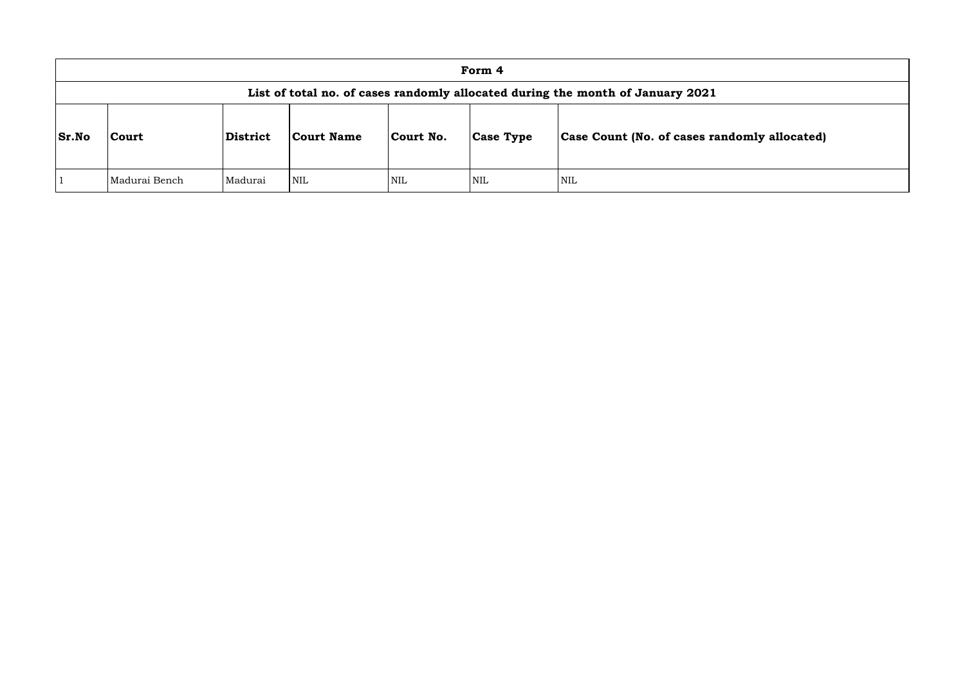|              | Form 4                                                                         |                 |            |            |                  |                                      |  |  |  |
|--------------|--------------------------------------------------------------------------------|-----------------|------------|------------|------------------|--------------------------------------|--|--|--|
|              | List of total no. of cases randomly allocated during the month of January 2021 |                 |            |            |                  |                                      |  |  |  |
| <b>Sr.No</b> | Court                                                                          | <b>District</b> | Court Name | Court No.  | <b>Case Type</b> | <b>Case Count (No. of cases rand</b> |  |  |  |
|              | Madurai Bench                                                                  | Madurai         | <b>NIL</b> | <b>NIL</b> | <b>NIL</b>       | <b>NIL</b>                           |  |  |  |

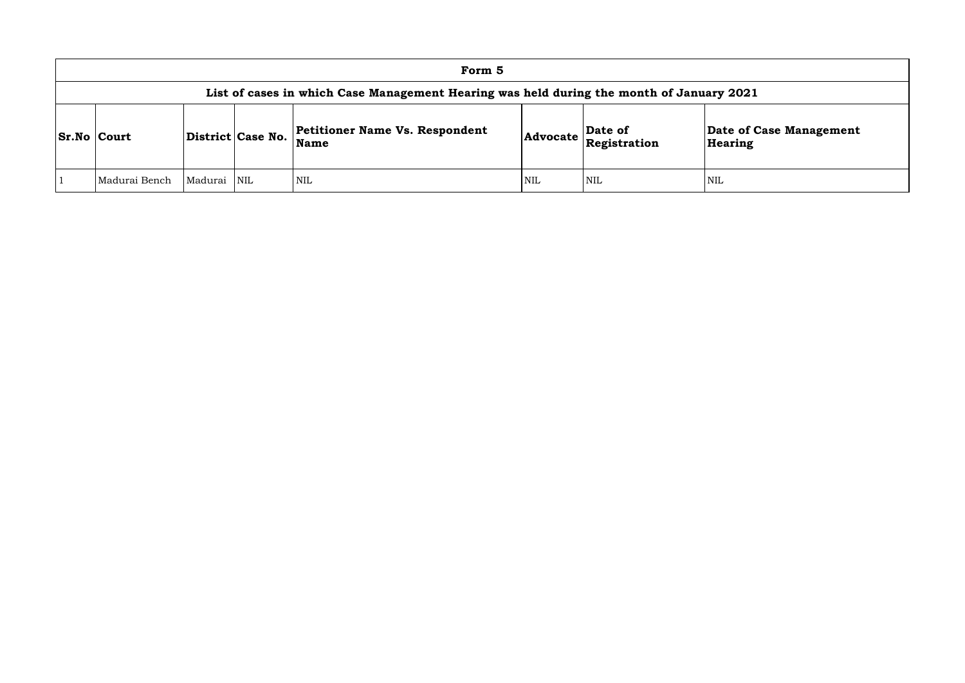|                    | Form 5                                                                                   |                   |            |                                                      |                 |                         |                      |  |  |  |
|--------------------|------------------------------------------------------------------------------------------|-------------------|------------|------------------------------------------------------|-----------------|-------------------------|----------------------|--|--|--|
|                    | List of cases in which Case Management Hearing was held during the month of January 2021 |                   |            |                                                      |                 |                         |                      |  |  |  |
| <b>Sr.No Court</b> |                                                                                          | District Case No. |            | <b>Petitioner Name Vs. Respondent</b><br><b>Name</b> | <b>Advocate</b> | Date of<br>Registration | Date of C<br>Hearing |  |  |  |
|                    | Madurai Bench                                                                            | Madurai           | $\sf NNIL$ | <b>NIL</b>                                           | <b>NIL</b>      | NIL                     | NIL                  |  |  |  |

**e of Case Management** ring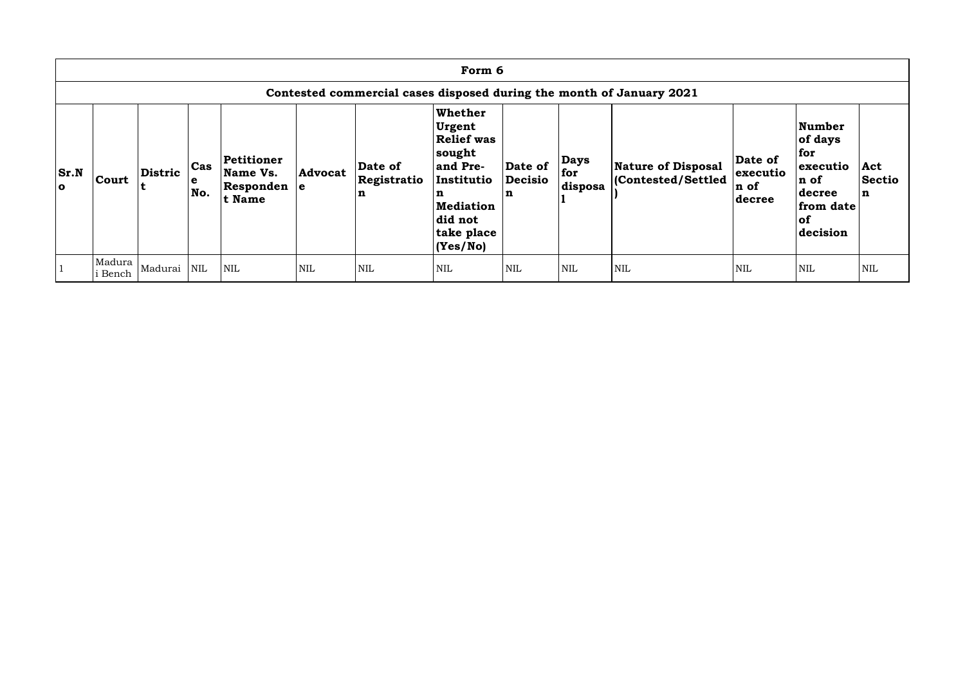| Form 6                                |                                                                      |                |                                      |                                                 |                |                             |                                                                                                                                                         |                                |                               |                                                |                                        |                                                                                        |                                     |
|---------------------------------------|----------------------------------------------------------------------|----------------|--------------------------------------|-------------------------------------------------|----------------|-----------------------------|---------------------------------------------------------------------------------------------------------------------------------------------------------|--------------------------------|-------------------------------|------------------------------------------------|----------------------------------------|----------------------------------------------------------------------------------------|-------------------------------------|
|                                       | Contested commercial cases disposed during the month of January 2021 |                |                                      |                                                 |                |                             |                                                                                                                                                         |                                |                               |                                                |                                        |                                                                                        |                                     |
| $\mathbf{Sr}.\mathbf{N}$<br>$\bullet$ | <b>Court</b>                                                         | <b>Distric</b> | $\operatorname{\sf Cas}$<br>e<br>No. | Petitioner<br>Name Vs.<br>Responden e<br>t Name | <b>Advocat</b> | Date of<br>Registratio<br>n | <b>Whether</b><br><b>Urgent</b><br><b>Relief was</b><br>sought<br>and Pre-<br>Institutio<br>n<br><b>Mediation</b><br>did not<br>take place<br> (Yes/No) | Date of<br><b>Decisio</b><br>n | <b>Days</b><br>for<br>disposa | <b>Nature of Disposal</b><br>Contested/Settled | Date of<br>executio<br>n of<br> decree | Number<br>of days<br>for<br>executio<br>n of<br>decree<br>from date<br> of<br>decision | Act<br><b>Sectio</b><br>$\mathbf n$ |
|                                       | Madura<br>i Bench                                                    | Madurai NIL    |                                      | <b>NIL</b>                                      | <b>NIL</b>     | <b>NIL</b>                  | <b>NIL</b>                                                                                                                                              | <b>NIL</b>                     | <b>NIL</b>                    | NIL                                            | <b>NIL</b>                             | NIL                                                                                    | <b>NIL</b>                          |